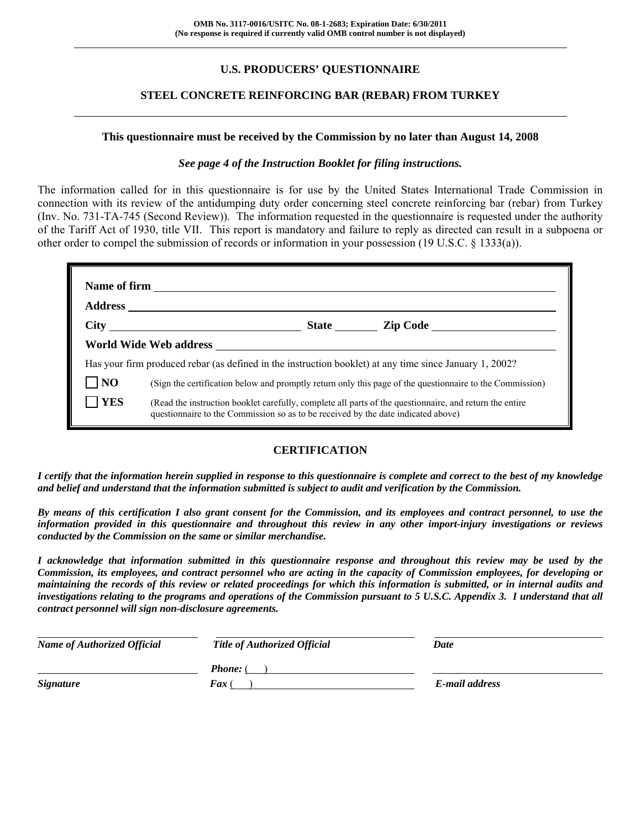### **U.S. PRODUCERS' QUESTIONNAIRE**

#### **STEEL CONCRETE REINFORCING BAR (REBAR) FROM TURKEY**

#### **This questionnaire must be received by the Commission by no later than August 14, 2008**

#### *See page 4 of the Instruction Booklet for filing instructions.*

The information called for in this questionnaire is for use by the United States International Trade Commission in connection with its review of the antidumping duty order concerning steel concrete reinforcing bar (rebar) from Turkey (Inv. No. 731-TA-745 (Second Review)). The information requested in the questionnaire is requested under the authority of the Tariff Act of 1930, title VII. This report is mandatory and failure to reply as directed can result in a subpoena or other order to compel the submission of records or information in your possession (19 U.S.C. § 1333(a)).

|                |                                                                                                                                                                                              | State <u>Lip Code</u>                                                                                    |
|----------------|----------------------------------------------------------------------------------------------------------------------------------------------------------------------------------------------|----------------------------------------------------------------------------------------------------------|
|                |                                                                                                                                                                                              |                                                                                                          |
|                | Has your firm produced rebar (as defined in the instruction booklet) at any time since January 1, 2002?                                                                                      |                                                                                                          |
| N <sub>O</sub> |                                                                                                                                                                                              | (Sign the certification below and promptly return only this page of the questionnaire to the Commission) |
| <b>YES</b>     | (Read the instruction booklet carefully, complete all parts of the questionnaire, and return the entire<br>questionnaire to the Commission so as to be received by the date indicated above) |                                                                                                          |

#### **CERTIFICATION**

*I certify that the information herein supplied in response to this questionnaire is complete and correct to the best of my knowledge and belief and understand that the information submitted is subject to audit and verification by the Commission.* 

*By means of this certification I also grant consent for the Commission, and its employees and contract personnel, to use the information provided in this questionnaire and throughout this review in any other import-injury investigations or reviews conducted by the Commission on the same or similar merchandise.* 

*I acknowledge that information submitted in this questionnaire response and throughout this review may be used by the Commission, its employees, and contract personnel who are acting in the capacity of Commission employees, for developing or maintaining the records of this review or related proceedings for which this information is submitted, or in internal audits and investigations relating to the programs and operations of the Commission pursuant to 5 U.S.C. Appendix 3. I understand that all contract personnel will sign non-disclosure agreements.* 

| <b>Name of Authorized Official</b> | <b>Title of Authorized Official</b> | Date           |
|------------------------------------|-------------------------------------|----------------|
|                                    | <b>Phone:</b> (                     |                |
| <b>Signature</b>                   | <b>Fax</b> (                        | E-mail address |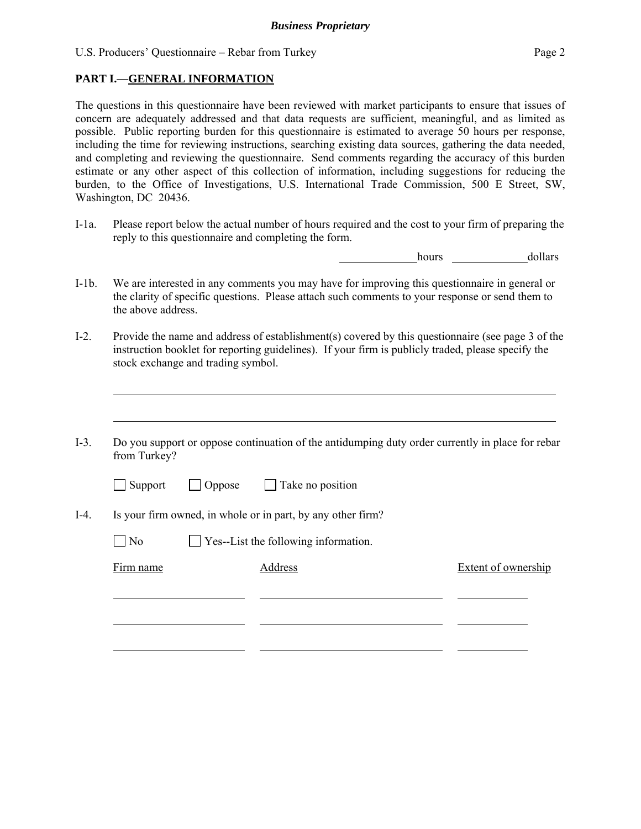#### **PART I.—GENERAL INFORMATION**

 $\overline{a}$ 

 $\overline{a}$ 

The questions in this questionnaire have been reviewed with market participants to ensure that issues of concern are adequately addressed and that data requests are sufficient, meaningful, and as limited as possible. Public reporting burden for this questionnaire is estimated to average 50 hours per response, including the time for reviewing instructions, searching existing data sources, gathering the data needed, and completing and reviewing the questionnaire. Send comments regarding the accuracy of this burden estimate or any other aspect of this collection of information, including suggestions for reducing the burden, to the Office of Investigations, U.S. International Trade Commission, 500 E Street, SW, Washington, DC 20436.

I-1a. Please report below the actual number of hours required and the cost to your firm of preparing the reply to this questionnaire and completing the form.

hours dollars

- I-1b. We are interested in any comments you may have for improving this questionnaire in general or the clarity of specific questions. Please attach such comments to your response or send them to the above address.
- I-2. Provide the name and address of establishment(s) covered by this questionnaire (see page 3 of the instruction booklet for reporting guidelines). If your firm is publicly traded, please specify the stock exchange and trading symbol.
- I-3. Do you support or oppose continuation of the antidumping duty order currently in place for rebar from Turkey?

| $\Box$ Support | $\Box$ Oppose | $\Box$ Take no position |
|----------------|---------------|-------------------------|
|----------------|---------------|-------------------------|

I-4. Is your firm owned, in whole or in part, by any other firm?

 $\Box$  No  $\Box$  Yes--List the following information.

Firm name Address Address Extent of ownership  $\overline{a}$  $\overline{a}$  $\overline{a}$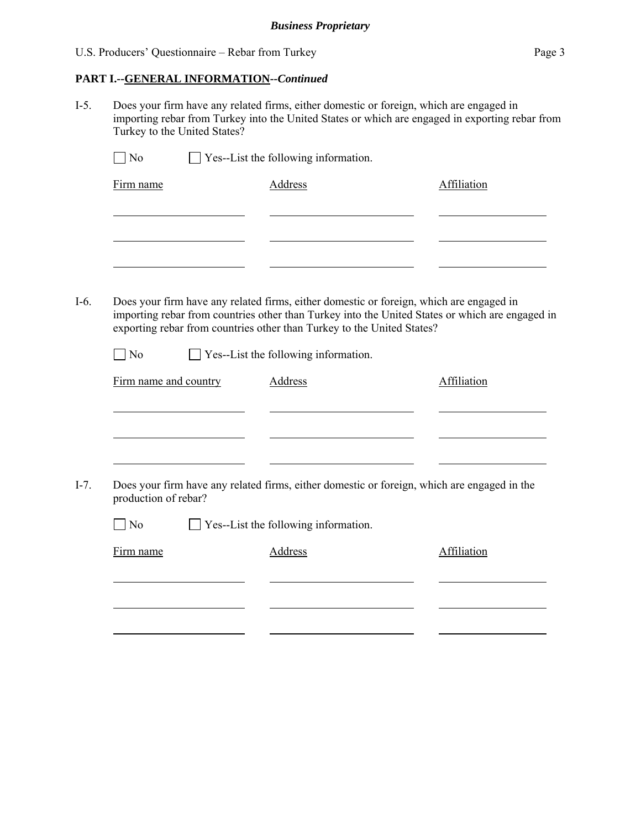### **PART I.--GENERAL INFORMATION***--Continued*

I-5. Does your firm have any related firms, either domestic or foreign, which are engaged in importing rebar from Turkey into the United States or which are engaged in exporting rebar from Turkey to the United States?

| Firm name                         | <b>Address</b>                                                         | Affiliation                                                                                     |
|-----------------------------------|------------------------------------------------------------------------|-------------------------------------------------------------------------------------------------|
|                                   |                                                                        |                                                                                                 |
|                                   |                                                                        |                                                                                                 |
|                                   |                                                                        |                                                                                                 |
|                                   |                                                                        |                                                                                                 |
|                                   |                                                                        | Does your firm have any related firms, either domestic or foreign, which are engaged in         |
|                                   |                                                                        | importing rebar from countries other than Turkey into the United States or which are engaged in |
|                                   | exporting rebar from countries other than Turkey to the United States? |                                                                                                 |
| N <sub>0</sub>                    | Yes--List the following information.                                   |                                                                                                 |
| Firm name and country             | <b>Address</b>                                                         | Affiliation                                                                                     |
|                                   |                                                                        |                                                                                                 |
|                                   |                                                                        |                                                                                                 |
|                                   |                                                                        |                                                                                                 |
|                                   |                                                                        |                                                                                                 |
|                                   |                                                                        | Does your firm have any related firms, either domestic or foreign, which are engaged in the     |
|                                   |                                                                        |                                                                                                 |
| $\neg$ No                         | $\Box$ Yes--List the following information.                            |                                                                                                 |
| production of rebar?<br>Firm name | <b>Address</b>                                                         | Affiliation                                                                                     |
|                                   |                                                                        |                                                                                                 |
|                                   |                                                                        |                                                                                                 |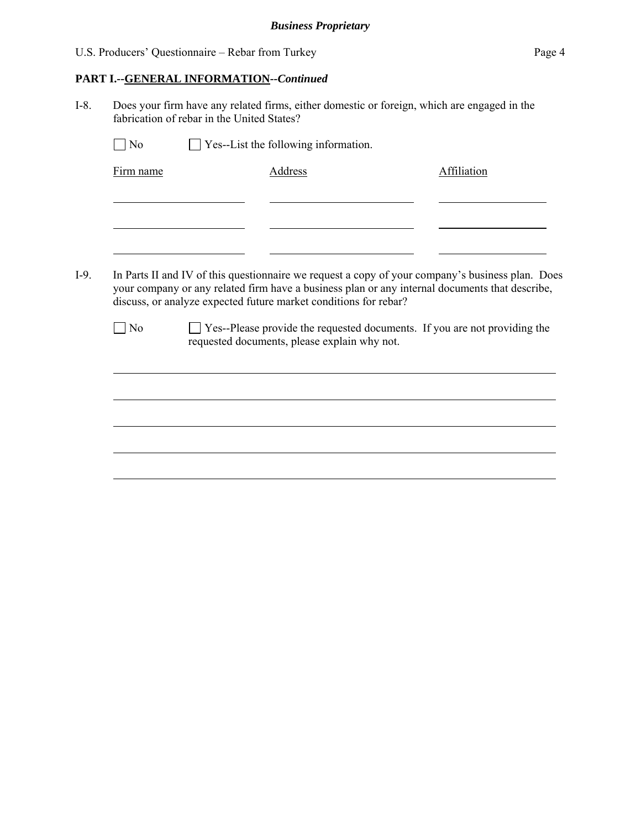### **PART I.--GENERAL INFORMATION***--Continued*

I-8. Does your firm have any related firms, either domestic or foreign, which are engaged in the fabrication of rebar in the United States?

| Firm name      | <b>Address</b>                                                                                   | Affiliation |
|----------------|--------------------------------------------------------------------------------------------------|-------------|
|                |                                                                                                  |             |
|                |                                                                                                  |             |
|                |                                                                                                  |             |
|                |                                                                                                  |             |
|                |                                                                                                  |             |
|                | In Parts II and IV of this questionnaire we request a copy of your company's business plan. Does |             |
|                | your company or any related firm have a business plan or any internal documents that describe,   |             |
|                | discuss, or analyze expected future market conditions for rebar?                                 |             |
| $\overline{N}$ | □ Yes--Please provide the requested documents. If you are not providing the                      |             |
|                | requested documents, please explain why not.                                                     |             |
|                |                                                                                                  |             |
|                |                                                                                                  |             |
|                |                                                                                                  |             |
|                |                                                                                                  |             |
|                |                                                                                                  |             |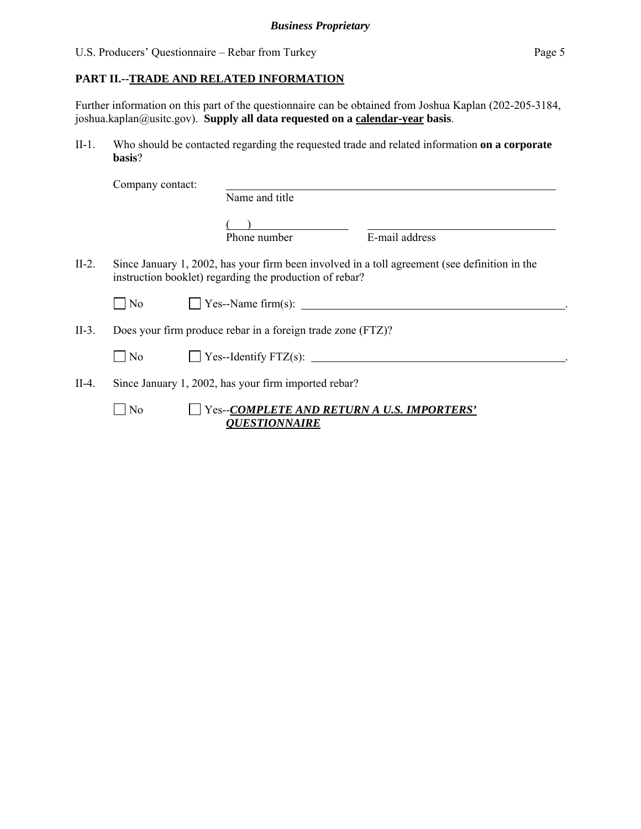Further information on this part of the questionnaire can be obtained from Joshua Kaplan (202-205-3184, joshua.kaplan@usitc.gov). **Supply all data requested on a calendar-year basis**.

II-1. Who should be contacted regarding the requested trade and related information **on a corporate basis**?

|          | Company contact: |                                                                    |                                                                                               |
|----------|------------------|--------------------------------------------------------------------|-----------------------------------------------------------------------------------------------|
|          |                  | Name and title                                                     |                                                                                               |
|          |                  | Phone number                                                       | E-mail address                                                                                |
| II-2.    |                  | instruction booklet) regarding the production of rebar?            | Since January 1, 2002, has your firm been involved in a toll agreement (see definition in the |
|          | $\Box$ No        |                                                                    | $\vert$ Yes--Name firm(s):                                                                    |
| $II-3$ . |                  | Does your firm produce rebar in a foreign trade zone (FTZ)?        |                                                                                               |
|          | $\overline{N_0}$ | $\Box$ Yes--Identify FTZ(s): $\Box$                                |                                                                                               |
| II-4.    |                  | Since January 1, 2002, has your firm imported rebar?               |                                                                                               |
|          | N <sub>0</sub>   | Yes--COMPLETE AND RETURN A U.S. IMPORTERS'<br><b>QUESTIONNAIRE</b> |                                                                                               |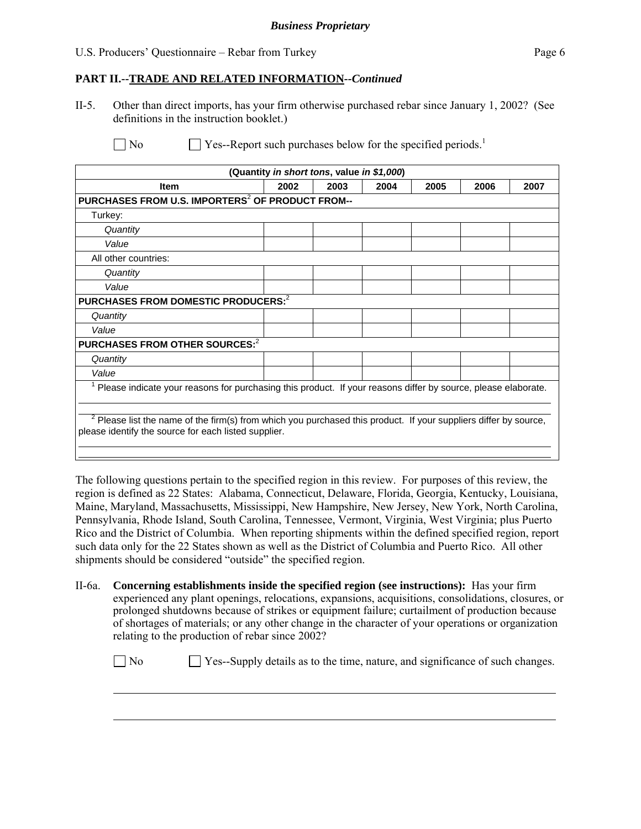$\overline{a}$ 

 $\overline{a}$ 

#### **PART II.--TRADE AND RELATED INFORMATION***--Continued*

II-5. Other than direct imports, has your firm otherwise purchased rebar since January 1, 2002? (See definitions in the instruction booklet.)

| (Quantity in short tons, value in \$1,000)                                                                     |      |      |      |      |      |      |
|----------------------------------------------------------------------------------------------------------------|------|------|------|------|------|------|
| <b>Item</b>                                                                                                    | 2002 | 2003 | 2004 | 2005 | 2006 | 2007 |
| PURCHASES FROM U.S. IMPORTERS <sup>2</sup> OF PRODUCT FROM--                                                   |      |      |      |      |      |      |
| Turkey:                                                                                                        |      |      |      |      |      |      |
| Quantity                                                                                                       |      |      |      |      |      |      |
| Value                                                                                                          |      |      |      |      |      |      |
| All other countries:                                                                                           |      |      |      |      |      |      |
| Quantity                                                                                                       |      |      |      |      |      |      |
| Value                                                                                                          |      |      |      |      |      |      |
| PURCHASES FROM DOMESTIC PRODUCERS: <sup>2</sup>                                                                |      |      |      |      |      |      |
| Quantity                                                                                                       |      |      |      |      |      |      |
| Value                                                                                                          |      |      |      |      |      |      |
| PURCHASES FROM OTHER SOURCES: <sup>2</sup>                                                                     |      |      |      |      |      |      |
| Quantity                                                                                                       |      |      |      |      |      |      |
| Value                                                                                                          |      |      |      |      |      |      |
| Please indicate your reasons for purchasing this product. If your reasons differ by source, please elaborate.  |      |      |      |      |      |      |
|                                                                                                                |      |      |      |      |      |      |
| Please list the name of the firm(s) from which you purchased this product. If your suppliers differ by source, |      |      |      |      |      |      |
| please identify the source for each listed supplier.                                                           |      |      |      |      |      |      |
|                                                                                                                |      |      |      |      |      |      |
|                                                                                                                |      |      |      |      |      |      |

The following questions pertain to the specified region in this review. For purposes of this review, the region is defined as 22 States: Alabama, Connecticut, Delaware, Florida, Georgia, Kentucky, Louisiana, Maine, Maryland, Massachusetts, Mississippi, New Hampshire, New Jersey, New York, North Carolina, Pennsylvania, Rhode Island, South Carolina, Tennessee, Vermont, Virginia, West Virginia; plus Puerto Rico and the District of Columbia. When reporting shipments within the defined specified region, report such data only for the 22 States shown as well as the District of Columbia and Puerto Rico. All other shipments should be considered "outside" the specified region.

II-6a. **Concerning establishments inside the specified region (see instructions):** Has your firm experienced any plant openings, relocations, expansions, acquisitions, consolidations, closures, or prolonged shutdowns because of strikes or equipment failure; curtailment of production because of shortages of materials; or any other change in the character of your operations or organization relating to the production of rebar since 2002?

 $\Box$  No  $\Box$  Yes--Supply details as to the time, nature, and significance of such changes.

 $\Box$  No  $\Box$  Yes--Report such purchases below for the specified periods.<sup>1</sup>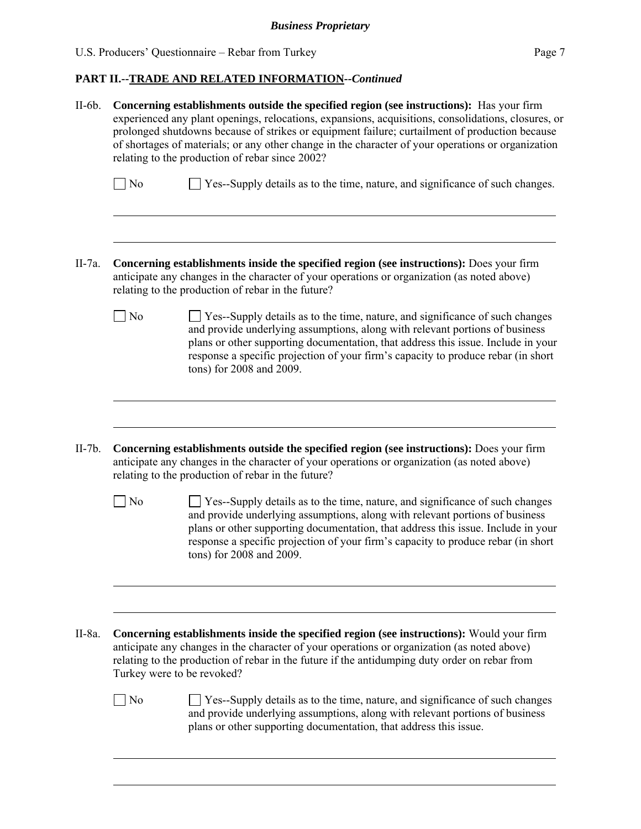$\overline{a}$ 

# **PART II.--TRADE AND RELATED INFORMATION***--Continued*

| $II-6b.$  | Concerning establishments outside the specified region (see instructions): Has your firm<br>experienced any plant openings, relocations, expansions, acquisitions, consolidations, closures, or<br>prolonged shutdowns because of strikes or equipment failure; curtailment of production because<br>of shortages of materials; or any other change in the character of your operations or organization<br>relating to the production of rebar since 2002? |                                                                                                                                                                                                                                                                                                                                                                           |  |  |  |  |
|-----------|------------------------------------------------------------------------------------------------------------------------------------------------------------------------------------------------------------------------------------------------------------------------------------------------------------------------------------------------------------------------------------------------------------------------------------------------------------|---------------------------------------------------------------------------------------------------------------------------------------------------------------------------------------------------------------------------------------------------------------------------------------------------------------------------------------------------------------------------|--|--|--|--|
|           | $\Box$ No                                                                                                                                                                                                                                                                                                                                                                                                                                                  | $\Box$ Yes--Supply details as to the time, nature, and significance of such changes.                                                                                                                                                                                                                                                                                      |  |  |  |  |
| II-7a.    |                                                                                                                                                                                                                                                                                                                                                                                                                                                            | <b>Concerning establishments inside the specified region (see instructions):</b> Does your firm<br>anticipate any changes in the character of your operations or organization (as noted above)<br>relating to the production of rebar in the future?                                                                                                                      |  |  |  |  |
|           | $\exists$ No                                                                                                                                                                                                                                                                                                                                                                                                                                               | $\Box$ Yes--Supply details as to the time, nature, and significance of such changes<br>and provide underlying assumptions, along with relevant portions of business<br>plans or other supporting documentation, that address this issue. Include in your<br>response a specific projection of your firm's capacity to produce rebar (in short<br>tons) for 2008 and 2009. |  |  |  |  |
| $II-7b.$  |                                                                                                                                                                                                                                                                                                                                                                                                                                                            | <b>Concerning establishments outside the specified region (see instructions):</b> Does your firm<br>anticipate any changes in the character of your operations or organization (as noted above)<br>relating to the production of rebar in the future?                                                                                                                     |  |  |  |  |
|           | $\Box$ No                                                                                                                                                                                                                                                                                                                                                                                                                                                  | $\Box$ Yes--Supply details as to the time, nature, and significance of such changes<br>and provide underlying assumptions, along with relevant portions of business<br>plans or other supporting documentation, that address this issue. Include in your<br>response a specific projection of your firm's capacity to produce rebar (in short<br>tons) for 2008 and 2009. |  |  |  |  |
| $II-8a$ . | Turkey were to be revoked?                                                                                                                                                                                                                                                                                                                                                                                                                                 | <b>Concerning establishments inside the specified region (see instructions):</b> Would your firm<br>anticipate any changes in the character of your operations or organization (as noted above)<br>relating to the production of rebar in the future if the antidumping duty order on rebar from                                                                          |  |  |  |  |
|           | $\overline{N}$                                                                                                                                                                                                                                                                                                                                                                                                                                             | <b>Solution</b> Yes--Supply details as to the time, nature, and significance of such changes<br>and provide underlying assumptions, along with relevant portions of business<br>plans or other supporting documentation, that address this issue.                                                                                                                         |  |  |  |  |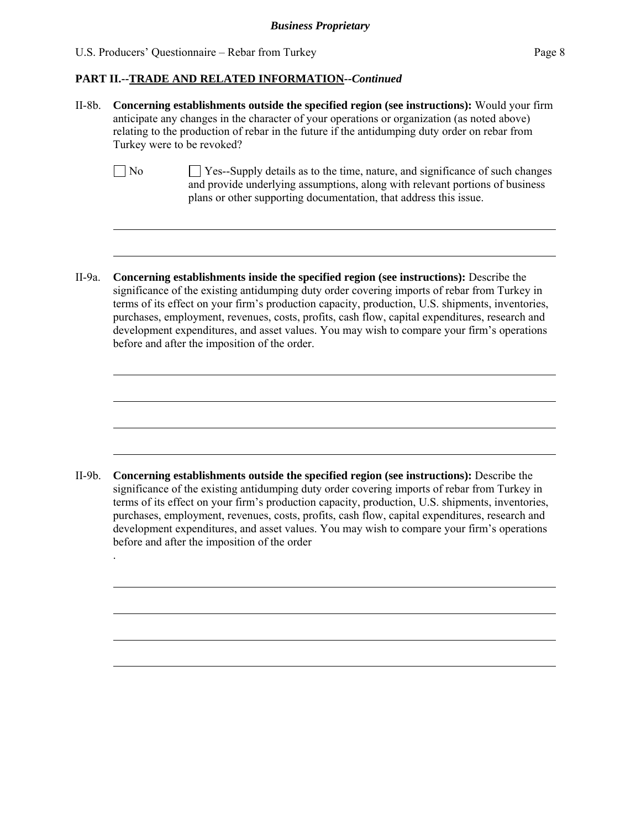$\overline{a}$ 

 $\overline{a}$ 

 $\overline{a}$ 

 $\overline{a}$ 

 $\overline{a}$ 

 $\overline{a}$ 

.

 $\overline{a}$ 

 $\overline{a}$ 

 $\overline{a}$ 

 $\overline{a}$ 

#### **PART II.--TRADE AND RELATED INFORMATION***--Continued*

- II-8b. **Concerning establishments outside the specified region (see instructions):** Would your firm anticipate any changes in the character of your operations or organization (as noted above) relating to the production of rebar in the future if the antidumping duty order on rebar from Turkey were to be revoked?
	- $\Box$  No  $\Box$  Yes--Supply details as to the time, nature, and significance of such changes and provide underlying assumptions, along with relevant portions of business plans or other supporting documentation, that address this issue.
- II-9a. **Concerning establishments inside the specified region (see instructions):** Describe the significance of the existing antidumping duty order covering imports of rebar from Turkey in terms of its effect on your firm's production capacity, production, U.S. shipments, inventories, purchases, employment, revenues, costs, profits, cash flow, capital expenditures, research and development expenditures, and asset values. You may wish to compare your firm's operations before and after the imposition of the order.

II-9b. **Concerning establishments outside the specified region (see instructions):** Describe the significance of the existing antidumping duty order covering imports of rebar from Turkey in terms of its effect on your firm's production capacity, production, U.S. shipments, inventories, purchases, employment, revenues, costs, profits, cash flow, capital expenditures, research and development expenditures, and asset values. You may wish to compare your firm's operations before and after the imposition of the order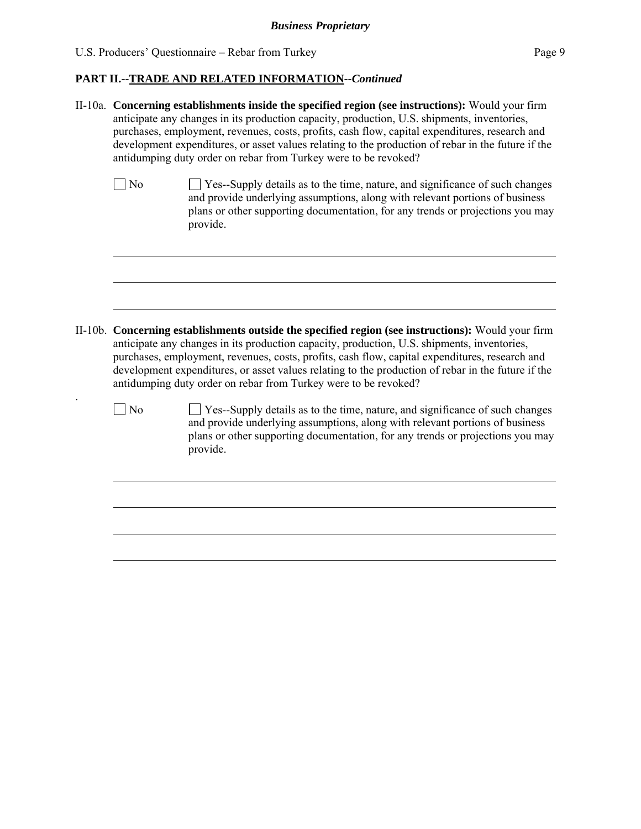$\overline{a}$ 

### **PART II.--TRADE AND RELATED INFORMATION***--Continued*

|                | II-10a. Concerning establishments inside the specified region (see instructions): Would your firm<br>anticipate any changes in its production capacity, production, U.S. shipments, inventories,<br>purchases, employment, revenues, costs, profits, cash flow, capital expenditures, research and<br>development expenditures, or asset values relating to the production of rebar in the future if the<br>antidumping duty order on rebar from Turkey were to be revoked?  |
|----------------|------------------------------------------------------------------------------------------------------------------------------------------------------------------------------------------------------------------------------------------------------------------------------------------------------------------------------------------------------------------------------------------------------------------------------------------------------------------------------|
| $\exists$ No   | Yes--Supply details as to the time, nature, and significance of such changes<br>and provide underlying assumptions, along with relevant portions of business<br>plans or other supporting documentation, for any trends or projections you may<br>provide.                                                                                                                                                                                                                   |
|                |                                                                                                                                                                                                                                                                                                                                                                                                                                                                              |
|                | II-10b. Concerning establishments outside the specified region (see instructions): Would your firm<br>anticipate any changes in its production capacity, production, U.S. shipments, inventories,<br>purchases, employment, revenues, costs, profits, cash flow, capital expenditures, research and<br>development expenditures, or asset values relating to the production of rebar in the future if the<br>antidumping duty order on rebar from Turkey were to be revoked? |
| N <sub>o</sub> | Yes--Supply details as to the time, nature, and significance of such changes<br>and provide underlying assumptions, along with relevant portions of business<br>plans or other supporting documentation, for any trends or projections you may<br>provide.                                                                                                                                                                                                                   |
|                |                                                                                                                                                                                                                                                                                                                                                                                                                                                                              |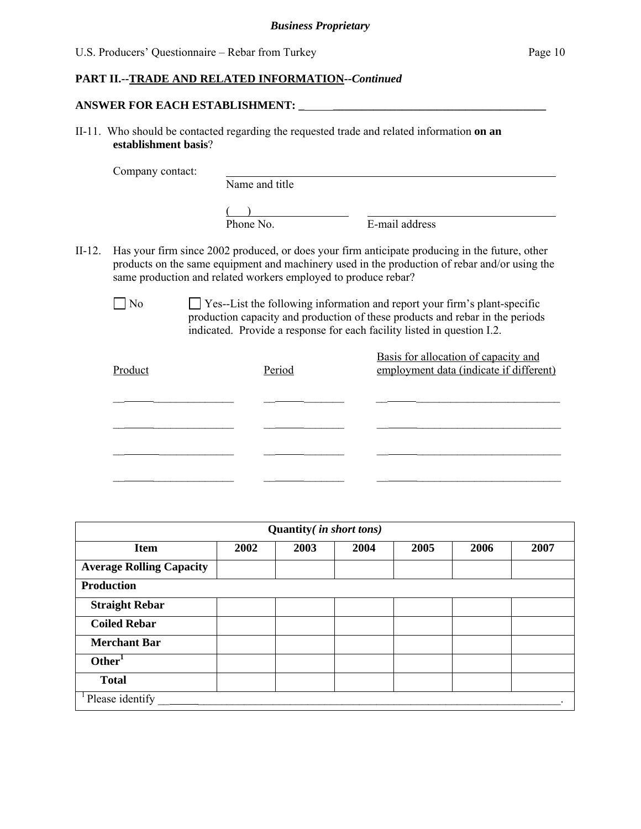#### **PART II.--TRADE AND RELATED INFORMATION***--Continued*

#### **ANSWER FOR EACH ESTABLISHMENT: \_ \_\_\_\_\_\_\_\_\_\_\_\_\_\_\_\_\_\_\_\_\_\_\_\_\_\_\_\_\_\_\_\_\_\_\_\_\_**

II-11. Who should be contacted regarding the requested trade and related information **on an establishment basis**?

Company contact:

Name and title

 $\frac{1}{\text{Phone No.}}$ 

E-mail address

- II-12. Has your firm since 2002 produced, or does your firm anticipate producing in the future, other products on the same equipment and machinery used in the production of rebar and/or using the same production and related workers employed to produce rebar?
	- No Ses--List the following information and report your firm's plant-specific production capacity and production of these products and rebar in the periods indicated. Provide a response for each facility listed in question I.2.

| Product | Period | Basis for allocation of capacity and<br>employment data (indicate if different) |
|---------|--------|---------------------------------------------------------------------------------|
|         |        |                                                                                 |
|         |        |                                                                                 |
|         |        |                                                                                 |
|         |        |                                                                                 |

| Quantity(in short tons)         |      |      |      |      |      |      |
|---------------------------------|------|------|------|------|------|------|
| <b>Item</b>                     | 2002 | 2003 | 2004 | 2005 | 2006 | 2007 |
| <b>Average Rolling Capacity</b> |      |      |      |      |      |      |
| <b>Production</b>               |      |      |      |      |      |      |
| <b>Straight Rebar</b>           |      |      |      |      |      |      |
| <b>Coiled Rebar</b>             |      |      |      |      |      |      |
| <b>Merchant Bar</b>             |      |      |      |      |      |      |
| Other <sup>1</sup>              |      |      |      |      |      |      |
| <b>Total</b>                    |      |      |      |      |      |      |
| Please identify                 |      |      |      |      |      |      |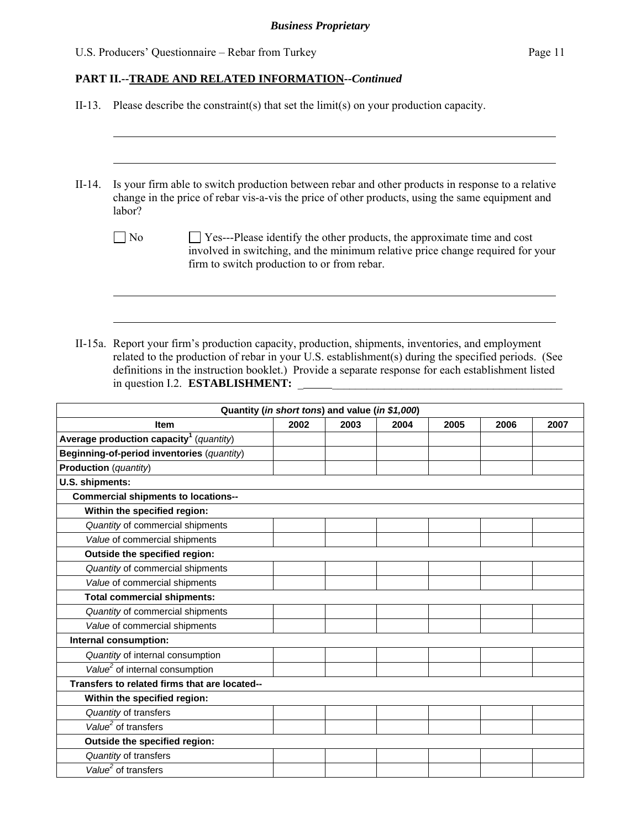### **PART II.--TRADE AND RELATED INFORMATION***--Continued*

|                       | II-13. Please describe the constraint(s) that set the $\text{limit}(s)$ on your production capacity.                                                                                                               |                                                 |      |      |      |      |      |  |
|-----------------------|--------------------------------------------------------------------------------------------------------------------------------------------------------------------------------------------------------------------|-------------------------------------------------|------|------|------|------|------|--|
|                       |                                                                                                                                                                                                                    |                                                 |      |      |      |      |      |  |
| $II-14.$              | Is your firm able to switch production between rebar and other products in response to a relative<br>change in the price of rebar vis-a-vis the price of other products, using the same equipment and<br>labor?    |                                                 |      |      |      |      |      |  |
|                       | $\log$<br>Yes---Please identify the other products, the approximate time and cost<br>involved in switching, and the minimum relative price change required for your<br>firm to switch production to or from rebar. |                                                 |      |      |      |      |      |  |
|                       | II-15a. Report your firm's production capacity, production, shipments, inventories, and employment<br>related to the production of rebar in your U.S. establishment(s) during the specified periods. (See          |                                                 |      |      |      |      |      |  |
|                       | definitions in the instruction booklet.) Provide a separate response for each establishment listed<br>in question I.2. ESTABLISHMENT:                                                                              |                                                 |      |      |      |      |      |  |
|                       |                                                                                                                                                                                                                    | Quantity (in short tons) and value (in \$1,000) |      |      |      |      |      |  |
|                       | <b>Item</b>                                                                                                                                                                                                        | 2002                                            | 2003 | 2004 | 2005 | 2006 | 2007 |  |
|                       | Average production capacity <sup>1</sup> (quantity)                                                                                                                                                                |                                                 |      |      |      |      |      |  |
|                       | Beginning-of-period inventories (quantity)                                                                                                                                                                         |                                                 |      |      |      |      |      |  |
| Production (quantity) |                                                                                                                                                                                                                    |                                                 |      |      |      |      |      |  |
| U.S. shipments:       |                                                                                                                                                                                                                    |                                                 |      |      |      |      |      |  |
|                       | <b>Commercial shipments to locations--</b><br>Within the specified region:                                                                                                                                         |                                                 |      |      |      |      |      |  |
|                       | Quantity of commercial shipments                                                                                                                                                                                   |                                                 |      |      |      |      |      |  |
|                       | Value of commercial shipments                                                                                                                                                                                      |                                                 |      |      |      |      |      |  |
|                       | Outside the specified region:                                                                                                                                                                                      |                                                 |      |      |      |      |      |  |
|                       | Quantity of commercial shipments                                                                                                                                                                                   |                                                 |      |      |      |      |      |  |
|                       | Value of commercial shipments                                                                                                                                                                                      |                                                 |      |      |      |      |      |  |
|                       | <b>Total commercial shipments:</b>                                                                                                                                                                                 |                                                 |      |      |      |      |      |  |
|                       | Quantity of commercial shipments                                                                                                                                                                                   |                                                 |      |      |      |      |      |  |
|                       |                                                                                                                                                                                                                    |                                                 |      |      |      |      |      |  |

| Value of commercial shipments                 |  |  |  |
|-----------------------------------------------|--|--|--|
| Internal consumption:                         |  |  |  |
| Quantity of internal consumption              |  |  |  |
| Value <sup>2</sup> of internal consumption    |  |  |  |
| Transfers to related firms that are located-- |  |  |  |
| Within the specified region:                  |  |  |  |
| Quantity of transfers                         |  |  |  |
| Value <sup>2</sup> of transfers               |  |  |  |
| Outside the specified region:                 |  |  |  |
| Quantity of transfers                         |  |  |  |
| $\overline{Value}^2$ of transfers             |  |  |  |
|                                               |  |  |  |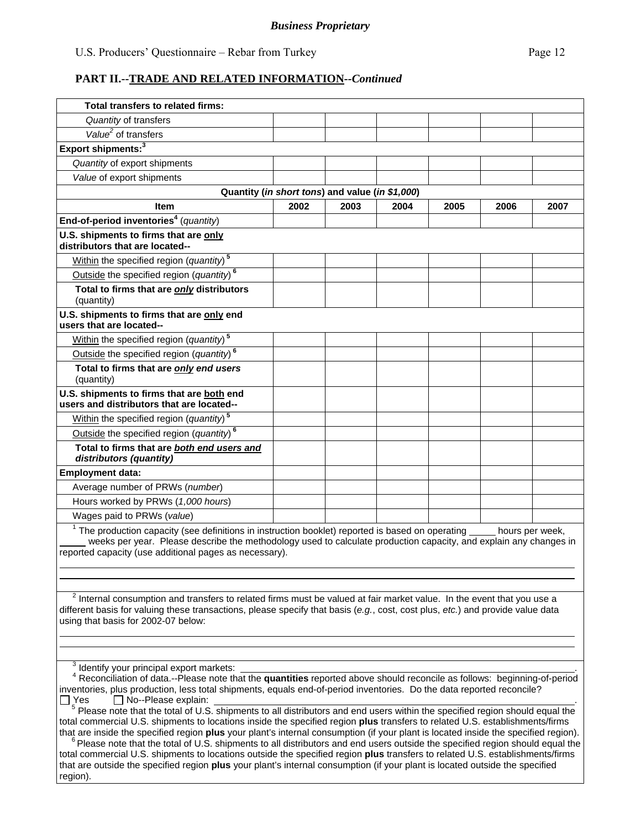| Total transfers to related firms:                                                                                                                                                                                                                                                                         |      |      |      |      |      |      |  |  |
|-----------------------------------------------------------------------------------------------------------------------------------------------------------------------------------------------------------------------------------------------------------------------------------------------------------|------|------|------|------|------|------|--|--|
| Quantity of transfers                                                                                                                                                                                                                                                                                     |      |      |      |      |      |      |  |  |
| Value <sup>2</sup> of transfers                                                                                                                                                                                                                                                                           |      |      |      |      |      |      |  |  |
| Export shipments: <sup>3</sup>                                                                                                                                                                                                                                                                            |      |      |      |      |      |      |  |  |
| Quantity of export shipments                                                                                                                                                                                                                                                                              |      |      |      |      |      |      |  |  |
| Value of export shipments                                                                                                                                                                                                                                                                                 |      |      |      |      |      |      |  |  |
| Quantity (in short tons) and value (in \$1,000)                                                                                                                                                                                                                                                           |      |      |      |      |      |      |  |  |
| <b>Item</b>                                                                                                                                                                                                                                                                                               | 2002 | 2003 | 2004 | 2005 | 2006 | 2007 |  |  |
| End-of-period inventories <sup>4</sup> (quantity)                                                                                                                                                                                                                                                         |      |      |      |      |      |      |  |  |
| U.S. shipments to firms that are only<br>distributors that are located--                                                                                                                                                                                                                                  |      |      |      |      |      |      |  |  |
| Within the specified region (quantity) <sup>5</sup>                                                                                                                                                                                                                                                       |      |      |      |      |      |      |  |  |
| Outside the specified region (quantity) <sup>6</sup>                                                                                                                                                                                                                                                      |      |      |      |      |      |      |  |  |
| Total to firms that are only distributors<br>(quantity)                                                                                                                                                                                                                                                   |      |      |      |      |      |      |  |  |
| U.S. shipments to firms that are only end<br>users that are located--                                                                                                                                                                                                                                     |      |      |      |      |      |      |  |  |
| Within the specified region (quantity) <sup>5</sup>                                                                                                                                                                                                                                                       |      |      |      |      |      |      |  |  |
| Outside the specified region (quantity) <sup>6</sup>                                                                                                                                                                                                                                                      |      |      |      |      |      |      |  |  |
| Total to firms that are only end users<br>(quantity)                                                                                                                                                                                                                                                      |      |      |      |      |      |      |  |  |
| U.S. shipments to firms that are both end<br>users and distributors that are located--                                                                                                                                                                                                                    |      |      |      |      |      |      |  |  |
| Within the specified region (quantity) <sup>5</sup>                                                                                                                                                                                                                                                       |      |      |      |      |      |      |  |  |
| Outside the specified region (quantity) <sup>6</sup>                                                                                                                                                                                                                                                      |      |      |      |      |      |      |  |  |
| Total to firms that are both end users and<br>distributors (quantity)                                                                                                                                                                                                                                     |      |      |      |      |      |      |  |  |
| <b>Employment data:</b>                                                                                                                                                                                                                                                                                   |      |      |      |      |      |      |  |  |
| Average number of PRWs (number)                                                                                                                                                                                                                                                                           |      |      |      |      |      |      |  |  |
| Hours worked by PRWs (1,000 hours)                                                                                                                                                                                                                                                                        |      |      |      |      |      |      |  |  |
| Wages paid to PRWs (value)                                                                                                                                                                                                                                                                                |      |      |      |      |      |      |  |  |
| $1$ The production capacity (see definitions in instruction booklet) reported is based on operating $\_\_$ hours per week,<br>weeks per year. Please describe the methodology used to calculate production capacity, and explain any changes in<br>reported capacity (use additional pages as necessary). |      |      |      |      |      |      |  |  |
|                                                                                                                                                                                                                                                                                                           |      |      |      |      |      |      |  |  |

 $2$  Internal consumption and transfers to related firms must be valued at fair market value. In the event that you use a different basis for valuing these transactions, please specify that basis (*e.g.*, cost, cost plus, *etc.*) and provide value data using that basis for 2002-07 below:

<sup>3</sup> Identify your principal export markets: <u>exponent and the set of the set of the set of the set of the set of the set of the set of the set of the set of the set of the set of the set of the set of the set of the set of</u>

 $\overline{a}$ 

 <sup>4</sup> Reconciliation of data.--Please note that the **quantities** reported above should reconcile as follows: beginning-of-period inventories, plus production, less total shipments, equals end-of-period inventories. Do the data reported reconcile?

 Yes No--Please explain: . 5 Please note that the total of U.S. shipments to all distributors and end users within the specified region should equal the total commercial U.S. shipments to locations inside the specified region **plus** transfers to related U.S. establishments/firms that are inside the specified region **plus** your plant's internal consumption (if your plant is located inside the specified region).

 $6$  Please note that the total of U.S. shipments to all distributors and end users outside the specified region should equal the total commercial U.S. shipments to locations outside the specified region **plus** transfers to related U.S. establishments/firms that are outside the specified region **plus** your plant's internal consumption (if your plant is located outside the specified region).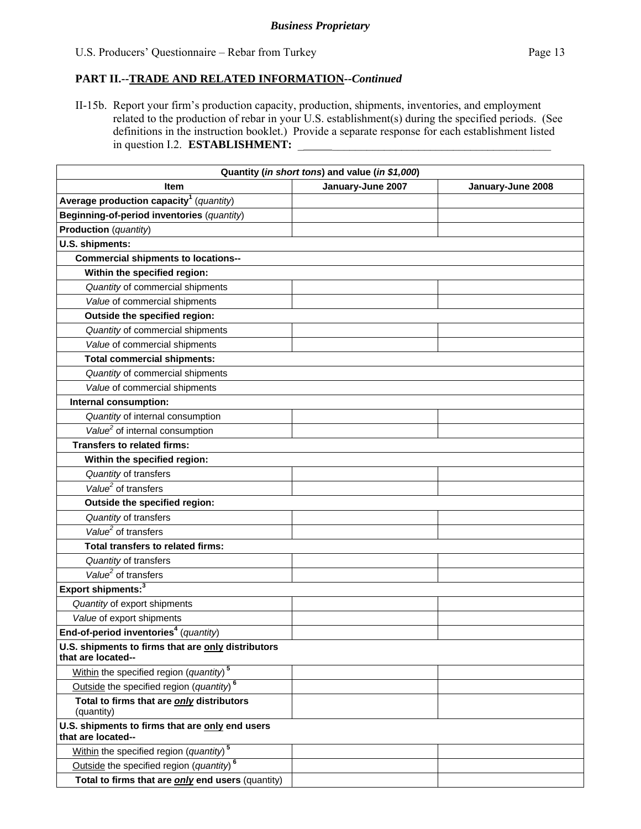II-15b. Report your firm's production capacity, production, shipments, inventories, and employment related to the production of rebar in your U.S. establishment(s) during the specified periods. (See definitions in the instruction booklet.) Provide a separate response for each establishment listed in question I.2. **ESTABLISHMENT:** 

|                                                                          | Quantity (in short tons) and value (in \$1,000) |                   |
|--------------------------------------------------------------------------|-------------------------------------------------|-------------------|
| <b>Item</b>                                                              | January-June 2007                               | January-June 2008 |
| Average production capacity <sup>1</sup> (quantity)                      |                                                 |                   |
| Beginning-of-period inventories (quantity)                               |                                                 |                   |
| Production (quantity)                                                    |                                                 |                   |
| U.S. shipments:                                                          |                                                 |                   |
| <b>Commercial shipments to locations--</b>                               |                                                 |                   |
| Within the specified region:                                             |                                                 |                   |
| Quantity of commercial shipments                                         |                                                 |                   |
| Value of commercial shipments                                            |                                                 |                   |
| Outside the specified region:                                            |                                                 |                   |
| Quantity of commercial shipments                                         |                                                 |                   |
| Value of commercial shipments                                            |                                                 |                   |
| <b>Total commercial shipments:</b>                                       |                                                 |                   |
| Quantity of commercial shipments                                         |                                                 |                   |
| Value of commercial shipments                                            |                                                 |                   |
| Internal consumption:                                                    |                                                 |                   |
| Quantity of internal consumption                                         |                                                 |                   |
| $\overline{Value^2}$ of internal consumption                             |                                                 |                   |
| <b>Transfers to related firms:</b>                                       |                                                 |                   |
| Within the specified region:                                             |                                                 |                   |
| Quantity of transfers                                                    |                                                 |                   |
| $Value2$ of transfers                                                    |                                                 |                   |
| Outside the specified region:                                            |                                                 |                   |
| Quantity of transfers                                                    |                                                 |                   |
| Value <sup>2</sup> of transfers                                          |                                                 |                   |
| Total transfers to related firms:                                        |                                                 |                   |
| Quantity of transfers                                                    |                                                 |                   |
| Value <sup>2</sup> of transfers                                          |                                                 |                   |
| Export shipments: <sup>3</sup>                                           |                                                 |                   |
| Quantity of export shipments                                             |                                                 |                   |
| Value of export shipments                                                |                                                 |                   |
| End-of-period inventories <sup>4</sup> (quantity)                        |                                                 |                   |
| U.S. shipments to firms that are only distributors<br>that are located-- |                                                 |                   |
| Within the specified region (quantity) <sup>5</sup>                      |                                                 |                   |
| Outside the specified region (quantity) <sup>6</sup>                     |                                                 |                   |
| Total to firms that are only distributors<br>(quantity)                  |                                                 |                   |
| U.S. shipments to firms that are only end users<br>that are located--    |                                                 |                   |
| Within the specified region (quantity) <sup>5</sup>                      |                                                 |                   |
| Outside the specified region (quantity) <sup>6</sup>                     |                                                 |                   |
| Total to firms that are only end users (quantity)                        |                                                 |                   |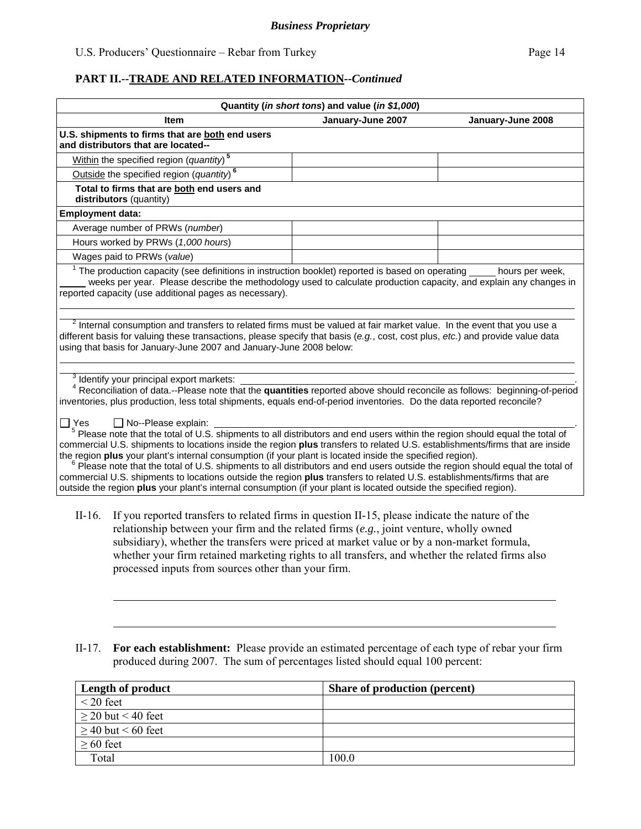|                         |                                                                                                                                                                                                                                                                                                                                                                                                                                                                                                                                                                                                                                                                                                                                                                                                                                                                                                                                                                                                                                                                                                                           | Quantity (in short tons) and value (in \$1,000) |                   |
|-------------------------|---------------------------------------------------------------------------------------------------------------------------------------------------------------------------------------------------------------------------------------------------------------------------------------------------------------------------------------------------------------------------------------------------------------------------------------------------------------------------------------------------------------------------------------------------------------------------------------------------------------------------------------------------------------------------------------------------------------------------------------------------------------------------------------------------------------------------------------------------------------------------------------------------------------------------------------------------------------------------------------------------------------------------------------------------------------------------------------------------------------------------|-------------------------------------------------|-------------------|
|                         | <b>Item</b>                                                                                                                                                                                                                                                                                                                                                                                                                                                                                                                                                                                                                                                                                                                                                                                                                                                                                                                                                                                                                                                                                                               | January-June 2007                               | January-June 2008 |
|                         | U.S. shipments to firms that are both end users<br>and distributors that are located--                                                                                                                                                                                                                                                                                                                                                                                                                                                                                                                                                                                                                                                                                                                                                                                                                                                                                                                                                                                                                                    |                                                 |                   |
|                         | Within the specified region (quantity) <sup>5</sup>                                                                                                                                                                                                                                                                                                                                                                                                                                                                                                                                                                                                                                                                                                                                                                                                                                                                                                                                                                                                                                                                       |                                                 |                   |
|                         | Outside the specified region $(quantity)$ <sup>6</sup>                                                                                                                                                                                                                                                                                                                                                                                                                                                                                                                                                                                                                                                                                                                                                                                                                                                                                                                                                                                                                                                                    |                                                 |                   |
|                         | Total to firms that are both end users and<br>distributors (quantity)                                                                                                                                                                                                                                                                                                                                                                                                                                                                                                                                                                                                                                                                                                                                                                                                                                                                                                                                                                                                                                                     |                                                 |                   |
| <b>Employment data:</b> |                                                                                                                                                                                                                                                                                                                                                                                                                                                                                                                                                                                                                                                                                                                                                                                                                                                                                                                                                                                                                                                                                                                           |                                                 |                   |
|                         | Average number of PRWs (number)                                                                                                                                                                                                                                                                                                                                                                                                                                                                                                                                                                                                                                                                                                                                                                                                                                                                                                                                                                                                                                                                                           |                                                 |                   |
|                         | Hours worked by PRWs (1,000 hours)                                                                                                                                                                                                                                                                                                                                                                                                                                                                                                                                                                                                                                                                                                                                                                                                                                                                                                                                                                                                                                                                                        |                                                 |                   |
|                         | Wages paid to PRWs (value)                                                                                                                                                                                                                                                                                                                                                                                                                                                                                                                                                                                                                                                                                                                                                                                                                                                                                                                                                                                                                                                                                                |                                                 |                   |
|                         | $1$ The production capacity (see definitions in instruction booklet) reported is based on operating<br>weeks per year. Please describe the methodology used to calculate production capacity, and explain any changes in<br>reported capacity (use additional pages as necessary).                                                                                                                                                                                                                                                                                                                                                                                                                                                                                                                                                                                                                                                                                                                                                                                                                                        |                                                 | hours per week,   |
|                         | <sup>2</sup> Internal consumption and transfers to related firms must be valued at fair market value. In the event that you use a<br>different basis for valuing these transactions, please specify that basis (e.g., cost, cost plus, etc.) and provide value data<br>using that basis for January-June 2007 and January-June 2008 below:                                                                                                                                                                                                                                                                                                                                                                                                                                                                                                                                                                                                                                                                                                                                                                                |                                                 |                   |
| $\Box$ Yes              | <sup>3</sup> Identify your principal export markets:<br><sup>4</sup> Reconciliation of data.--Please note that the <b>quantities</b> reported above should reconcile as follows: beginning-of-period<br>inventories, plus production, less total shipments, equals end-of-period inventories. Do the data reported reconcile?<br>$\Box$ No--Please explain:<br>$5$ Please note that the total of U.S. shipments to all distributors and end users within the region should equal the total of<br>commercial U.S. shipments to locations inside the region plus transfers to related U.S. establishments/firms that are inside<br>the region plus your plant's internal consumption (if your plant is located inside the specified region).<br>Please note that the total of U.S. shipments to all distributors and end users outside the region should equal the total of<br>commercial U.S. shipments to locations outside the region plus transfers to related U.S. establishments/firms that are<br>outside the region plus your plant's internal consumption (if your plant is located outside the specified region). |                                                 |                   |
| $II-16.$                | If you reported transfers to related firms in question II-15, please indicate the nature of the<br>relationship between your firm and the related firms $(e.g.,$ joint venture, wholly owned<br>subsidiary), whether the transfers were priced at market value or by a non-market formula,<br>whether your firm retained marketing rights to all transfers, and whether the related firms also<br>processed inputs from sources other than your firm.                                                                                                                                                                                                                                                                                                                                                                                                                                                                                                                                                                                                                                                                     |                                                 |                   |
| $II-17.$                | For each establishment: Please provide an estimated percentage of each type of rebar your firm<br>produced during 2007. The sum of percentages listed should equal 100 percent:                                                                                                                                                                                                                                                                                                                                                                                                                                                                                                                                                                                                                                                                                                                                                                                                                                                                                                                                           |                                                 |                   |

| Length of product       | <b>Share of production (percent)</b> |
|-------------------------|--------------------------------------|
| $\leq$ 20 feet          |                                      |
| $\geq$ 20 but < 40 feet |                                      |
| $\geq$ 40 but < 60 feet |                                      |
| $\geq 60$ feet          |                                      |
| Total                   | 100.0                                |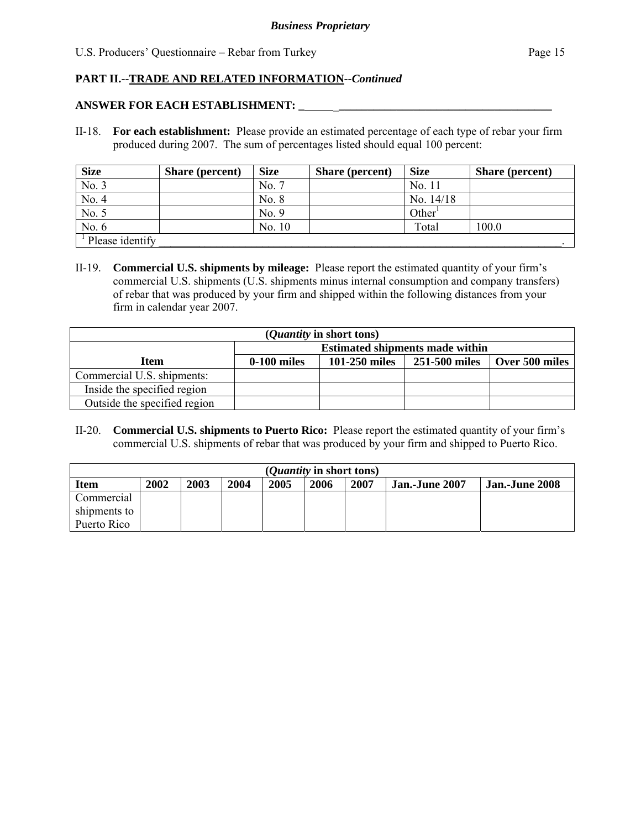#### **ANSWER FOR EACH ESTABLISHMENT: \_** \_**\_\_\_\_\_\_\_\_\_\_\_\_\_\_\_\_\_\_\_\_\_\_\_\_\_\_\_\_\_\_\_\_\_\_\_\_\_**

II-18. **For each establishment:** Please provide an estimated percentage of each type of rebar your firm produced during 2007. The sum of percentages listed should equal 100 percent:

| <b>Size</b>                         | <b>Share (percent)</b> | <b>Size</b> | <b>Share</b> (percent) | <b>Size</b>        | <b>Share</b> (percent) |
|-------------------------------------|------------------------|-------------|------------------------|--------------------|------------------------|
| No. 3                               |                        | No. 7       |                        | No. 11             |                        |
| No. 4                               |                        | No. 8       |                        | No. $14/18$        |                        |
| No. 5                               |                        | No. 9       |                        | Other <sup>1</sup> |                        |
| No. $6$                             |                        | No. 10      |                        | Total              | 100.0                  |
| <sup><i>i</i></sup> Please identify |                        |             |                        |                    |                        |

II-19. **Commercial U.S. shipments by mileage:** Please report the estimated quantity of your firm's commercial U.S. shipments (U.S. shipments minus internal consumption and company transfers) of rebar that was produced by your firm and shipped within the following distances from your firm in calendar year 2007.

| ( <i>Quantity</i> in short tons) |                                        |               |               |                |  |  |  |
|----------------------------------|----------------------------------------|---------------|---------------|----------------|--|--|--|
|                                  | <b>Estimated shipments made within</b> |               |               |                |  |  |  |
| Item                             | $0-100$ miles                          | 101-250 miles | 251-500 miles | Over 500 miles |  |  |  |
| Commercial U.S. shipments:       |                                        |               |               |                |  |  |  |
| Inside the specified region      |                                        |               |               |                |  |  |  |
| Outside the specified region     |                                        |               |               |                |  |  |  |

II-20. **Commercial U.S. shipments to Puerto Rico:** Please report the estimated quantity of your firm's commercial U.S. shipments of rebar that was produced by your firm and shipped to Puerto Rico.

|              | ( <i>Quantity</i> in short tons) |      |      |      |      |      |                       |                       |
|--------------|----------------------------------|------|------|------|------|------|-----------------------|-----------------------|
| Item         | 2002                             | 2003 | 2004 | 2005 | 2006 | 2007 | <b>Jan.-June 2007</b> | <b>Jan.-June 2008</b> |
| Commercial   |                                  |      |      |      |      |      |                       |                       |
| shipments to |                                  |      |      |      |      |      |                       |                       |
| Puerto Rico  |                                  |      |      |      |      |      |                       |                       |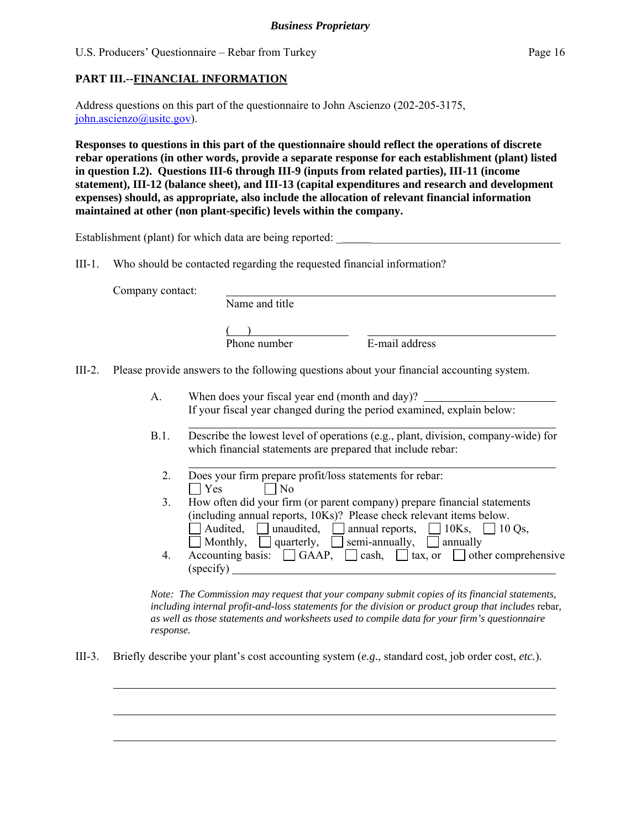#### **PART III.--FINANCIAL INFORMATION**

Address questions on this part of the questionnaire to John Ascienzo (202-205-3175, john.ascienzo@usitc.gov).

**Responses to questions in this part of the questionnaire should reflect the operations of discrete rebar operations (in other words, provide a separate response for each establishment (plant) listed in question I.2). Questions III-6 through III-9 (inputs from related parties), III-11 (income statement), III-12 (balance sheet), and III-13 (capital expenditures and research and development expenses) should, as appropriate, also include the allocation of relevant financial information maintained at other (non plant-specific) levels within the company.** 

Establishment (plant) for which data are being reported:

(specify)

III-1. Who should be contacted regarding the requested financial information?

Company contact:

l

 $\overline{a}$ 

 $\overline{a}$ 

 Name and title  $($  ) Phone number E-mail address

III-2. Please provide answers to the following questions about your financial accounting system.

- A. When does your fiscal year end (month and day)? If your fiscal year changed during the period examined, explain below:
- l B.1. Describe the lowest level of operations (e.g., plant, division, company-wide) for which financial statements are prepared that include rebar:
	- l 2. Does your firm prepare profit/loss statements for rebar:  $\Box$  Yes  $\Box$  No
- 3. How often did your firm (or parent company) prepare financial statements (including annual reports, 10Ks)? Please check relevant items below. Audited, unaudited, annual reports,  $\Box$  10Ks,  $\Box$  10 Qs, Monthly, quarterly, semi-annually, annually 4. Accounting basis:  $\Box$  GAAP,  $\Box$  cash,  $\Box$  tax, or  $\Box$  other comprehensive

*Note: The Commission may request that your company submit copies of its financial statements, including internal profit-and-loss statements for the division or product group that includes* rebar*, as well as those statements and worksheets used to compile data for your firm's questionnaire response.* 

III-3. Briefly describe your plant's cost accounting system (*e.g.*, standard cost, job order cost, *etc.*).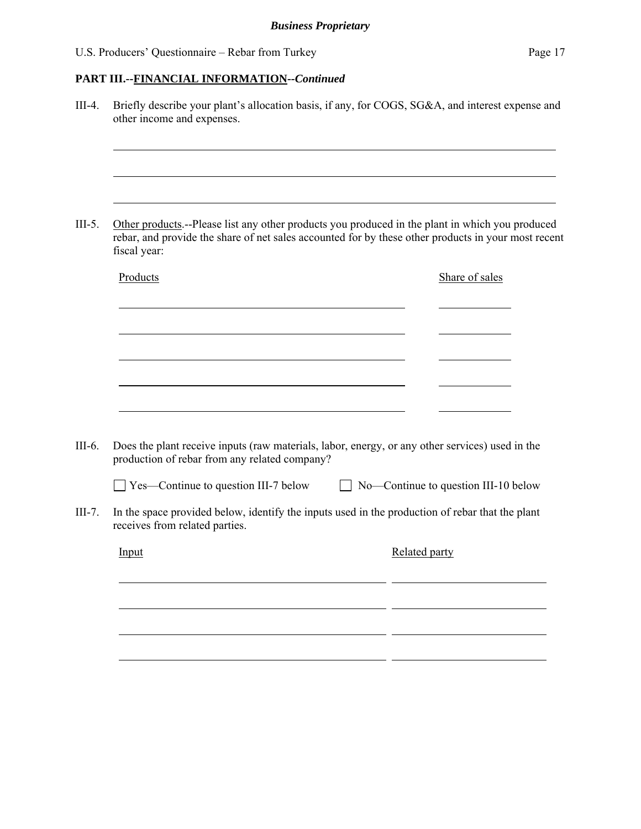# **PART III.--FINANCIAL INFORMATION***--Continued*

| rebar, and provide the share of net sales accounted for by these other products in your most recent<br>fiscal year:                              |  |                      | Other products.--Please list any other products you produced in the plant in which you produced |
|--------------------------------------------------------------------------------------------------------------------------------------------------|--|----------------------|-------------------------------------------------------------------------------------------------|
| Products                                                                                                                                         |  |                      | Share of sales                                                                                  |
|                                                                                                                                                  |  |                      |                                                                                                 |
|                                                                                                                                                  |  |                      |                                                                                                 |
|                                                                                                                                                  |  |                      |                                                                                                 |
|                                                                                                                                                  |  |                      |                                                                                                 |
|                                                                                                                                                  |  |                      |                                                                                                 |
| Does the plant receive inputs (raw materials, labor, energy, or any other services) used in the<br>production of rebar from any related company? |  |                      |                                                                                                 |
| $\Box$ Yes—Continue to question III-7 below                                                                                                      |  |                      | No-Continue to question III-10 below                                                            |
| In the space provided below, identify the inputs used in the production of rebar that the plant<br>receives from related parties.                |  |                      |                                                                                                 |
| Input                                                                                                                                            |  | <b>Related party</b> |                                                                                                 |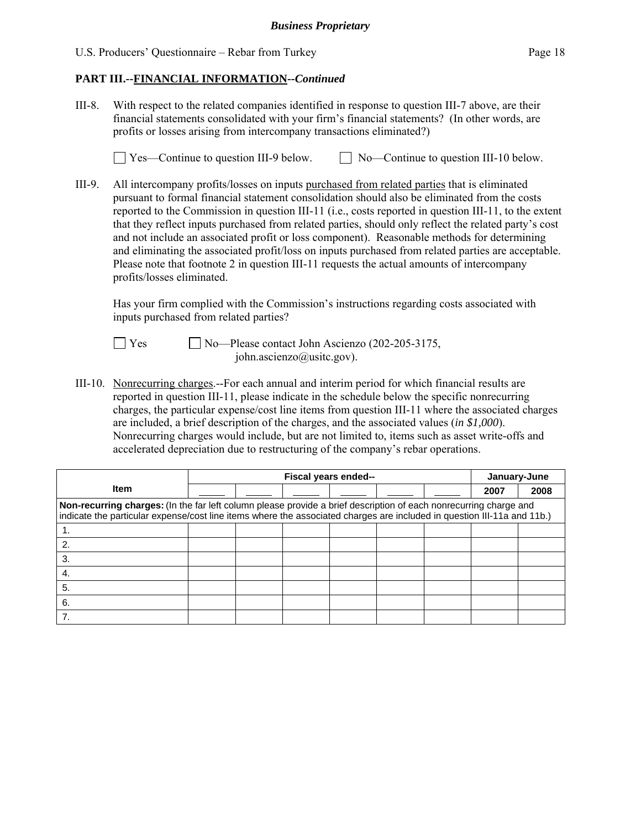#### **PART III.--FINANCIAL INFORMATION***--Continued*

III-8. With respect to the related companies identified in response to question III-7 above, are their financial statements consolidated with your firm's financial statements? (In other words, are profits or losses arising from intercompany transactions eliminated?)

 $\Box$  Yes—Continue to question III-9 below.  $\Box$  No—Continue to question III-10 below.

III-9. All intercompany profits/losses on inputs purchased from related parties that is eliminated pursuant to formal financial statement consolidation should also be eliminated from the costs reported to the Commission in question III-11 (i.e., costs reported in question III-11, to the extent that they reflect inputs purchased from related parties, should only reflect the related party's cost and not include an associated profit or loss component). Reasonable methods for determining and eliminating the associated profit/loss on inputs purchased from related parties are acceptable. Please note that footnote 2 in question III-11 requests the actual amounts of intercompany profits/losses eliminated.

 Has your firm complied with the Commission's instructions regarding costs associated with inputs purchased from related parties?

 $\Box$  Yes  $\Box$  No—Please contact John Ascienzo (202-205-3175, john.ascienzo@usitc.gov).

III-10. Nonrecurring charges.--For each annual and interim period for which financial results are reported in question III-11, please indicate in the schedule below the specific nonrecurring charges, the particular expense/cost line items from question III-11 where the associated charges are included, a brief description of the charges, and the associated values (*in \$1,000*). Nonrecurring charges would include, but are not limited to, items such as asset write-offs and accelerated depreciation due to restructuring of the company's rebar operations.

|                                                                                                                                                                                                                                              |  | Fiscal years ended-- |  |  |  |  |      | January-June |  |
|----------------------------------------------------------------------------------------------------------------------------------------------------------------------------------------------------------------------------------------------|--|----------------------|--|--|--|--|------|--------------|--|
| <b>Item</b>                                                                                                                                                                                                                                  |  |                      |  |  |  |  | 2007 | 2008         |  |
| Non-recurring charges: (In the far left column please provide a brief description of each nonrecurring charge and<br>indicate the particular expense/cost line items where the associated charges are included in question III-11a and 11b.) |  |                      |  |  |  |  |      |              |  |
|                                                                                                                                                                                                                                              |  |                      |  |  |  |  |      |              |  |
|                                                                                                                                                                                                                                              |  |                      |  |  |  |  |      |              |  |
| 3.                                                                                                                                                                                                                                           |  |                      |  |  |  |  |      |              |  |
| 4.                                                                                                                                                                                                                                           |  |                      |  |  |  |  |      |              |  |
| 5.                                                                                                                                                                                                                                           |  |                      |  |  |  |  |      |              |  |
| 6.                                                                                                                                                                                                                                           |  |                      |  |  |  |  |      |              |  |
|                                                                                                                                                                                                                                              |  |                      |  |  |  |  |      |              |  |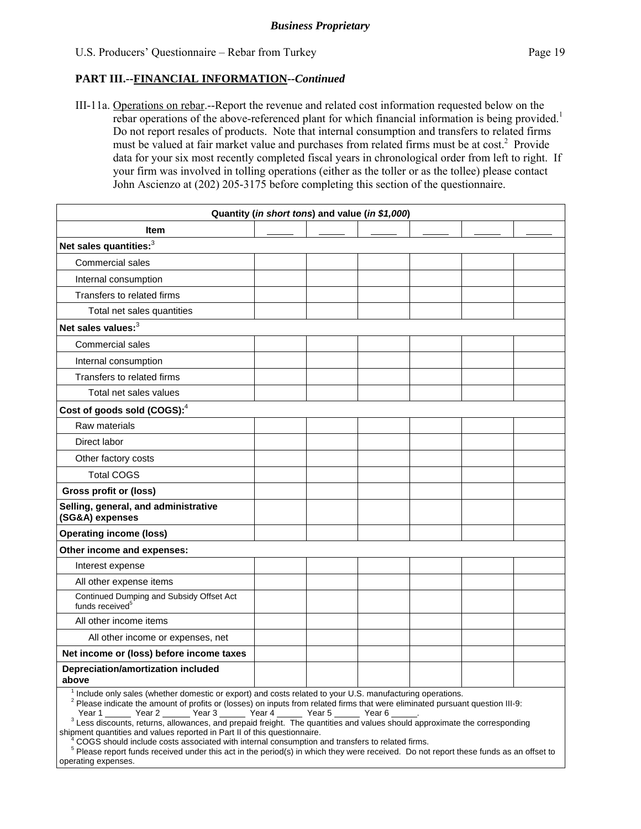#### **PART III.--FINANCIAL INFORMATION***--Continued*

III-11a. Operations on rebar.--Report the revenue and related cost information requested below on the rebar operations of the above-referenced plant for which financial information is being provided.<sup>1</sup> Do not report resales of products. Note that internal consumption and transfers to related firms must be valued at fair market value and purchases from related firms must be at cost.<sup>2</sup> Provide data for your six most recently completed fiscal years in chronological order from left to right. If your firm was involved in tolling operations (either as the toller or as the tollee) please contact John Ascienzo at (202) 205-3175 before completing this section of the questionnaire.

|                                                                                                                       |  | Quantity (in short tons) and value (in \$1,000) |  |  |
|-----------------------------------------------------------------------------------------------------------------------|--|-------------------------------------------------|--|--|
| <b>Item</b>                                                                                                           |  |                                                 |  |  |
| Net sales quantities: <sup>3</sup>                                                                                    |  |                                                 |  |  |
| Commercial sales                                                                                                      |  |                                                 |  |  |
| Internal consumption                                                                                                  |  |                                                 |  |  |
| Transfers to related firms                                                                                            |  |                                                 |  |  |
| Total net sales quantities                                                                                            |  |                                                 |  |  |
| Net sales values: $3$                                                                                                 |  |                                                 |  |  |
| <b>Commercial sales</b>                                                                                               |  |                                                 |  |  |
| Internal consumption                                                                                                  |  |                                                 |  |  |
| Transfers to related firms                                                                                            |  |                                                 |  |  |
| Total net sales values                                                                                                |  |                                                 |  |  |
| Cost of goods sold (COGS): <sup>4</sup>                                                                               |  |                                                 |  |  |
| Raw materials                                                                                                         |  |                                                 |  |  |
| Direct labor                                                                                                          |  |                                                 |  |  |
| Other factory costs                                                                                                   |  |                                                 |  |  |
| <b>Total COGS</b>                                                                                                     |  |                                                 |  |  |
| Gross profit or (loss)                                                                                                |  |                                                 |  |  |
| Selling, general, and administrative<br>(SG&A) expenses                                                               |  |                                                 |  |  |
| <b>Operating income (loss)</b>                                                                                        |  |                                                 |  |  |
| Other income and expenses:                                                                                            |  |                                                 |  |  |
| Interest expense                                                                                                      |  |                                                 |  |  |
| All other expense items                                                                                               |  |                                                 |  |  |
| Continued Dumping and Subsidy Offset Act<br>funds received <sup>5</sup>                                               |  |                                                 |  |  |
| All other income items                                                                                                |  |                                                 |  |  |
| All other income or expenses, net                                                                                     |  |                                                 |  |  |
| Net income or (loss) before income taxes                                                                              |  |                                                 |  |  |
| Depreciation/amortization included<br>above                                                                           |  |                                                 |  |  |
| <sup>1</sup> Include only sales (whether domestic or export) and costs related to your U.S. manufacturing operations. |  |                                                 |  |  |

 <sup>2</sup> Please indicate the amount of profits or (losses) on inputs from related firms that were eliminated pursuant question III-9:

Year 1 \_\_\_\_\_\_\_ Year 2 \_\_\_\_\_\_\_ Year 3 \_\_\_\_\_\_\_ Year 4 \_\_\_\_\_\_\_ Year 5 \_\_\_\_\_\_\_ Year 6 \_\_\_\_\_\_.<br><sup>3</sup> Less discounts, returns, allowances, and prepaid freight. The quantities and values should approximate the corresponding

shipment quantities and values reported in Part II of this questionnaire.

 <sup>4</sup> COGS should include costs associated with internal consumption and transfers to related firms.

<sup>5</sup> Please report funds received under this act in the period(s) in which they were received. Do not report these funds as an offset to operating expenses.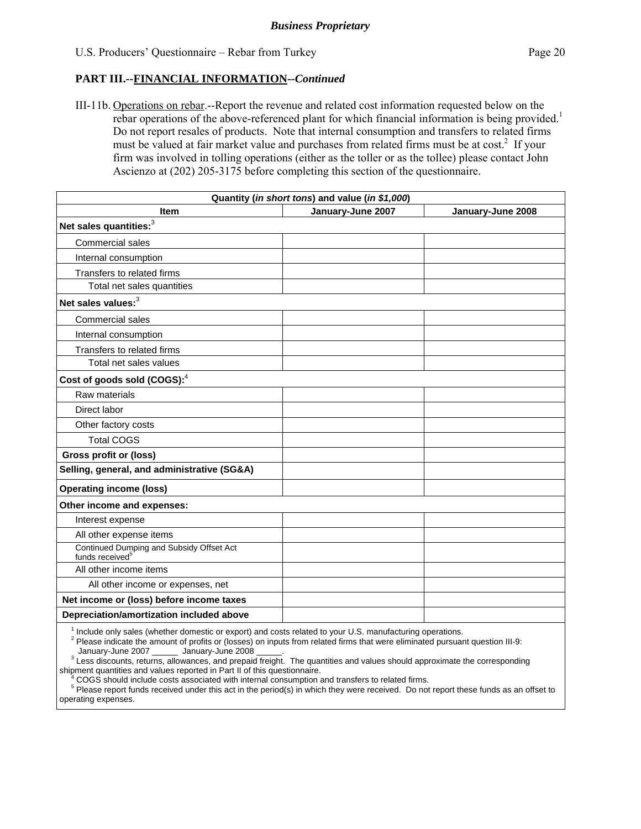#### **PART III.--FINANCIAL INFORMATION***--Continued*

III-11b. Operations on rebar.--Report the revenue and related cost information requested below on the rebar operations of the above-referenced plant for which financial information is being provided.<sup>1</sup> Do not report resales of products. Note that internal consumption and transfers to related firms must be valued at fair market value and purchases from related firms must be at  $cost<sup>2</sup>$ . If your firm was involved in tolling operations (either as the toller or as the tollee) please contact John Ascienzo at (202) 205-3175 before completing this section of the questionnaire.

|                                                                                                                       | Quantity (in short tons) and value (in \$1,000) |                   |
|-----------------------------------------------------------------------------------------------------------------------|-------------------------------------------------|-------------------|
| <b>Item</b>                                                                                                           | January-June 2007                               | January-June 2008 |
| Net sales quantities: <sup>3</sup>                                                                                    |                                                 |                   |
| <b>Commercial sales</b>                                                                                               |                                                 |                   |
| Internal consumption                                                                                                  |                                                 |                   |
| Transfers to related firms                                                                                            |                                                 |                   |
| Total net sales quantities                                                                                            |                                                 |                   |
| Net sales values: <sup>3</sup>                                                                                        |                                                 |                   |
| <b>Commercial sales</b>                                                                                               |                                                 |                   |
| Internal consumption                                                                                                  |                                                 |                   |
| Transfers to related firms                                                                                            |                                                 |                   |
| Total net sales values                                                                                                |                                                 |                   |
| Cost of goods sold (COGS): <sup>4</sup>                                                                               |                                                 |                   |
| Raw materials                                                                                                         |                                                 |                   |
| Direct labor                                                                                                          |                                                 |                   |
| Other factory costs                                                                                                   |                                                 |                   |
| <b>Total COGS</b>                                                                                                     |                                                 |                   |
| Gross profit or (loss)                                                                                                |                                                 |                   |
| Selling, general, and administrative (SG&A)                                                                           |                                                 |                   |
| <b>Operating income (loss)</b>                                                                                        |                                                 |                   |
| Other income and expenses:                                                                                            |                                                 |                   |
| Interest expense                                                                                                      |                                                 |                   |
| All other expense items                                                                                               |                                                 |                   |
| Continued Dumping and Subsidy Offset Act<br>funds received <sup>5</sup>                                               |                                                 |                   |
| All other income items                                                                                                |                                                 |                   |
| All other income or expenses, net                                                                                     |                                                 |                   |
| Net income or (loss) before income taxes                                                                              |                                                 |                   |
| Depreciation/amortization included above                                                                              |                                                 |                   |
| <sup>1</sup> Include only sales (whether domestic or export) and costs related to your U.S. manufacturing operations. |                                                 |                   |

only sales (whether domestic or export) and costs related to y

<sup>2</sup> Please indicate the amount of profits or (losses) on inputs from related firms that were eliminated pursuant question III-9: January-June 2007 \_\_\_\_\_\_ January-June 2008

<sup>3</sup> Less discounts, returns, allowances, and prepaid freight. The quantities and values should approximate the corresponding shipment quantities and values reported in Part II of this questionnaire.

 <sup>4</sup> COGS should include costs associated with internal consumption and transfers to related firms.

<sup>5</sup> Please report funds received under this act in the period(s) in which they were received. Do not report these funds as an offset to operating expenses.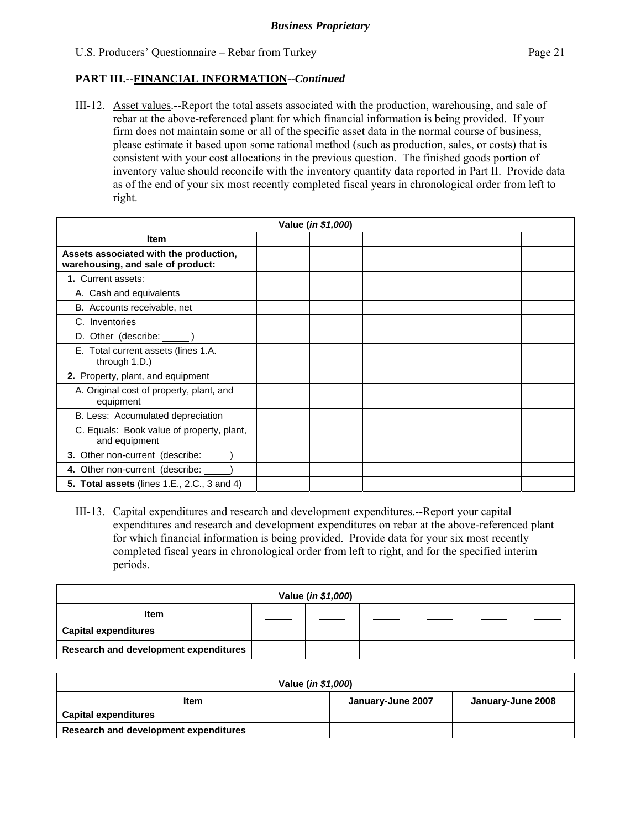#### **PART III.--FINANCIAL INFORMATION***--Continued*

III-12. Asset values.--Report the total assets associated with the production, warehousing, and sale of rebar at the above-referenced plant for which financial information is being provided. If your firm does not maintain some or all of the specific asset data in the normal course of business, please estimate it based upon some rational method (such as production, sales, or costs) that is consistent with your cost allocations in the previous question. The finished goods portion of inventory value should reconcile with the inventory quantity data reported in Part II. Provide data as of the end of your six most recently completed fiscal years in chronological order from left to right.

| Value (in \$1,000)                                                          |  |  |  |  |  |  |
|-----------------------------------------------------------------------------|--|--|--|--|--|--|
| <b>Item</b>                                                                 |  |  |  |  |  |  |
| Assets associated with the production,<br>warehousing, and sale of product: |  |  |  |  |  |  |
| 1. Current assets:                                                          |  |  |  |  |  |  |
| A. Cash and equivalents                                                     |  |  |  |  |  |  |
| B. Accounts receivable, net                                                 |  |  |  |  |  |  |
| C. Inventories                                                              |  |  |  |  |  |  |
| D. Other (describe: ______)                                                 |  |  |  |  |  |  |
| E. Total current assets (lines 1.A.<br>through 1.D.)                        |  |  |  |  |  |  |
| 2. Property, plant, and equipment                                           |  |  |  |  |  |  |
| A. Original cost of property, plant, and<br>equipment                       |  |  |  |  |  |  |
| B. Less: Accumulated depreciation                                           |  |  |  |  |  |  |
| C. Equals: Book value of property, plant,<br>and equipment                  |  |  |  |  |  |  |
| 3. Other non-current (describe: _____                                       |  |  |  |  |  |  |
| 4. Other non-current (describe: _____                                       |  |  |  |  |  |  |
| <b>5. Total assets</b> (lines 1.E., 2.C., 3 and 4)                          |  |  |  |  |  |  |

III-13. Capital expenditures and research and development expenditures.--Report your capital expenditures and research and development expenditures on rebar at the above-referenced plant for which financial information is being provided. Provide data for your six most recently completed fiscal years in chronological order from left to right, and for the specified interim periods.

| Value (in \$1,000)                           |  |  |  |  |  |  |
|----------------------------------------------|--|--|--|--|--|--|
| <b>Item</b>                                  |  |  |  |  |  |  |
| <b>Capital expenditures</b>                  |  |  |  |  |  |  |
| <b>Research and development expenditures</b> |  |  |  |  |  |  |

| Value ( <i>in \$1,000</i> )                    |  |  |  |  |  |
|------------------------------------------------|--|--|--|--|--|
| January-June 2008<br>January-June 2007<br>Item |  |  |  |  |  |
| <b>Capital expenditures</b>                    |  |  |  |  |  |
| Research and development expenditures          |  |  |  |  |  |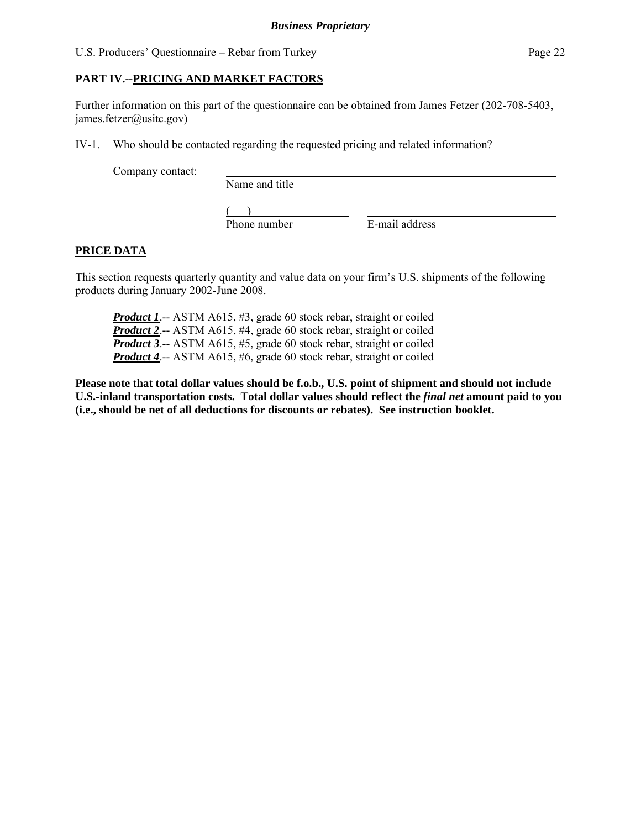#### **PART IV.--PRICING AND MARKET FACTORS**

Further information on this part of the questionnaire can be obtained from James Fetzer (202-708-5403, james.fetzer@usitc.gov)

IV-1. Who should be contacted regarding the requested pricing and related information?

Company contact:

Name and title

 $($ Phone number E-mail address

# **PRICE DATA**

This section requests quarterly quantity and value data on your firm's U.S. shipments of the following products during January 2002-June 2008.

*Product 1.*-- ASTM A615, #3, grade 60 stock rebar, straight or coiled *Product 2*.-- ASTM A615, #4, grade 60 stock rebar, straight or coiled *Product 3*.-- ASTM A615, #5, grade 60 stock rebar, straight or coiled *Product 4*.-- ASTM A615, #6, grade 60 stock rebar, straight or coiled

**Please note that total dollar values should be f.o.b., U.S. point of shipment and should not include U.S.-inland transportation costs. Total dollar values should reflect the** *final net* **amount paid to you (i.e., should be net of all deductions for discounts or rebates). See instruction booklet.**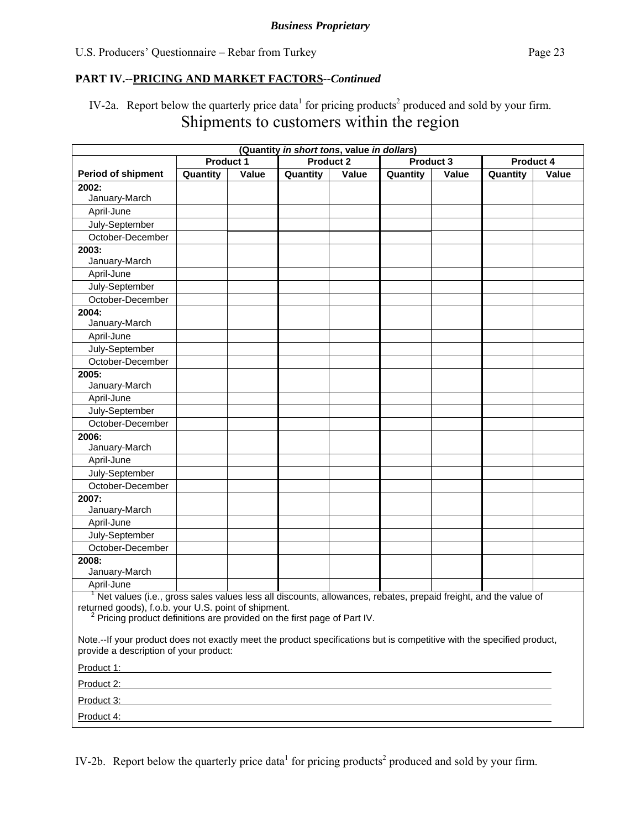IV-2a. Report below the quarterly price data<sup>1</sup> for pricing products<sup>2</sup> produced and sold by your firm. Shipments to customers within the region

| (Quantity in short tons, value in dollars)                                                                                                                                                                                                                     |                  |       |                  |       |                                                                                                                       |       |           |       |
|----------------------------------------------------------------------------------------------------------------------------------------------------------------------------------------------------------------------------------------------------------------|------------------|-------|------------------|-------|-----------------------------------------------------------------------------------------------------------------------|-------|-----------|-------|
|                                                                                                                                                                                                                                                                | <b>Product 1</b> |       | <b>Product 2</b> |       | Product 3                                                                                                             |       | Product 4 |       |
| <b>Period of shipment</b>                                                                                                                                                                                                                                      | Quantity         | Value | Quantity         | Value | Quantity                                                                                                              | Value | Quantity  | Value |
| 2002:                                                                                                                                                                                                                                                          |                  |       |                  |       |                                                                                                                       |       |           |       |
| January-March                                                                                                                                                                                                                                                  |                  |       |                  |       |                                                                                                                       |       |           |       |
| April-June                                                                                                                                                                                                                                                     |                  |       |                  |       |                                                                                                                       |       |           |       |
| July-September                                                                                                                                                                                                                                                 |                  |       |                  |       |                                                                                                                       |       |           |       |
| October-December                                                                                                                                                                                                                                               |                  |       |                  |       |                                                                                                                       |       |           |       |
| 2003:<br>January-March                                                                                                                                                                                                                                         |                  |       |                  |       |                                                                                                                       |       |           |       |
| April-June                                                                                                                                                                                                                                                     |                  |       |                  |       |                                                                                                                       |       |           |       |
| July-September                                                                                                                                                                                                                                                 |                  |       |                  |       |                                                                                                                       |       |           |       |
| October-December                                                                                                                                                                                                                                               |                  |       |                  |       |                                                                                                                       |       |           |       |
| 2004:<br>January-March                                                                                                                                                                                                                                         |                  |       |                  |       |                                                                                                                       |       |           |       |
| April-June                                                                                                                                                                                                                                                     |                  |       |                  |       |                                                                                                                       |       |           |       |
| July-September                                                                                                                                                                                                                                                 |                  |       |                  |       |                                                                                                                       |       |           |       |
| October-December                                                                                                                                                                                                                                               |                  |       |                  |       |                                                                                                                       |       |           |       |
| 2005:<br>January-March                                                                                                                                                                                                                                         |                  |       |                  |       |                                                                                                                       |       |           |       |
| April-June                                                                                                                                                                                                                                                     |                  |       |                  |       |                                                                                                                       |       |           |       |
| July-September                                                                                                                                                                                                                                                 |                  |       |                  |       |                                                                                                                       |       |           |       |
| October-December                                                                                                                                                                                                                                               |                  |       |                  |       |                                                                                                                       |       |           |       |
| 2006:<br>January-March                                                                                                                                                                                                                                         |                  |       |                  |       |                                                                                                                       |       |           |       |
| April-June                                                                                                                                                                                                                                                     |                  |       |                  |       |                                                                                                                       |       |           |       |
| July-September                                                                                                                                                                                                                                                 |                  |       |                  |       |                                                                                                                       |       |           |       |
| October-December                                                                                                                                                                                                                                               |                  |       |                  |       |                                                                                                                       |       |           |       |
| 2007:                                                                                                                                                                                                                                                          |                  |       |                  |       |                                                                                                                       |       |           |       |
| January-March                                                                                                                                                                                                                                                  |                  |       |                  |       |                                                                                                                       |       |           |       |
| April-June                                                                                                                                                                                                                                                     |                  |       |                  |       |                                                                                                                       |       |           |       |
| July-September                                                                                                                                                                                                                                                 |                  |       |                  |       |                                                                                                                       |       |           |       |
| October-December                                                                                                                                                                                                                                               |                  |       |                  |       |                                                                                                                       |       |           |       |
| 2008:                                                                                                                                                                                                                                                          |                  |       |                  |       |                                                                                                                       |       |           |       |
| January-March                                                                                                                                                                                                                                                  |                  |       |                  |       |                                                                                                                       |       |           |       |
| April-June                                                                                                                                                                                                                                                     |                  |       |                  |       |                                                                                                                       |       |           |       |
| <sup>1</sup> Net values (i.e., gross sales values less all discounts, allowances, rebates, prepaid freight, and the value of<br>returned goods), f.o.b. your U.S. point of shipment.<br>Pricing product definitions are provided on the first page of Part IV. |                  |       |                  |       |                                                                                                                       |       |           |       |
| Note.--If your product does not exactly meet the product specifications but is competitive with the specified product,<br>provide a description of your product:                                                                                               |                  |       |                  |       |                                                                                                                       |       |           |       |
| Product 1:<br>and the control of the control of the control of the control of the control of the control of the control of the                                                                                                                                 |                  |       |                  |       |                                                                                                                       |       |           |       |
|                                                                                                                                                                                                                                                                |                  |       |                  |       |                                                                                                                       |       |           |       |
| Product 3:                                                                                                                                                                                                                                                     |                  |       |                  |       | <u> 1989 - Johann Stoff, deutscher Stoffen und der Stoffen und der Stoffen und der Stoffen und der Stoffen und de</u> |       |           |       |
| Product 4:                                                                                                                                                                                                                                                     |                  |       |                  |       |                                                                                                                       |       |           |       |

IV-2b. Report below the quarterly price data<sup>1</sup> for pricing products<sup>2</sup> produced and sold by your firm.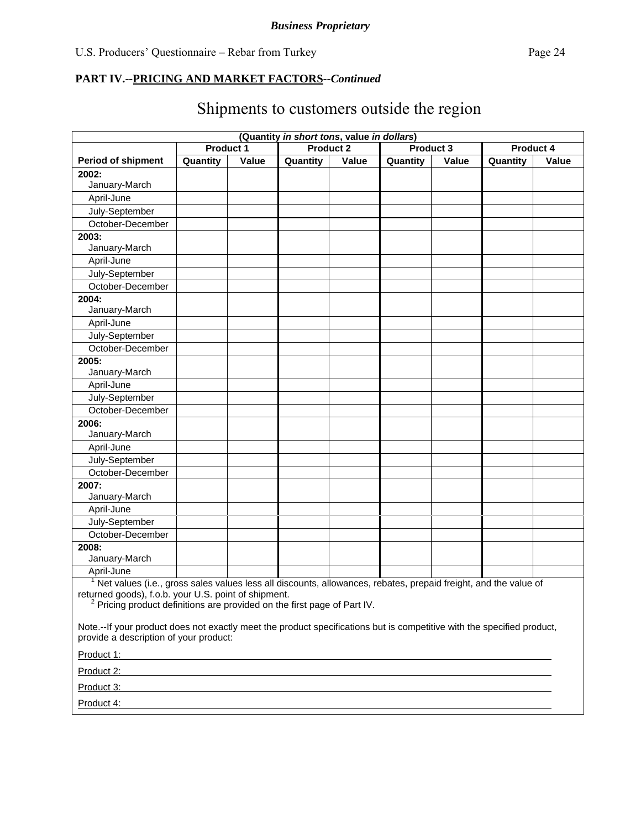|                                                                                                                                                                                                                                                                |                                                                                                                  |       | (Quantity in short tons, value in dollars) |       |                  |       |           |       |
|----------------------------------------------------------------------------------------------------------------------------------------------------------------------------------------------------------------------------------------------------------------|------------------------------------------------------------------------------------------------------------------|-------|--------------------------------------------|-------|------------------|-------|-----------|-------|
|                                                                                                                                                                                                                                                                | Product 1                                                                                                        |       | <b>Product 2</b>                           |       | <b>Product 3</b> |       | Product 4 |       |
| <b>Period of shipment</b>                                                                                                                                                                                                                                      | Quantity                                                                                                         | Value | Quantity                                   | Value | Quantity         | Value | Quantity  | Value |
| 2002:                                                                                                                                                                                                                                                          |                                                                                                                  |       |                                            |       |                  |       |           |       |
| January-March                                                                                                                                                                                                                                                  |                                                                                                                  |       |                                            |       |                  |       |           |       |
| April-June                                                                                                                                                                                                                                                     |                                                                                                                  |       |                                            |       |                  |       |           |       |
| July-September                                                                                                                                                                                                                                                 |                                                                                                                  |       |                                            |       |                  |       |           |       |
| October-December                                                                                                                                                                                                                                               |                                                                                                                  |       |                                            |       |                  |       |           |       |
| 2003:                                                                                                                                                                                                                                                          |                                                                                                                  |       |                                            |       |                  |       |           |       |
| January-March                                                                                                                                                                                                                                                  |                                                                                                                  |       |                                            |       |                  |       |           |       |
| April-June                                                                                                                                                                                                                                                     |                                                                                                                  |       |                                            |       |                  |       |           |       |
| July-September                                                                                                                                                                                                                                                 |                                                                                                                  |       |                                            |       |                  |       |           |       |
| October-December                                                                                                                                                                                                                                               |                                                                                                                  |       |                                            |       |                  |       |           |       |
| 2004:                                                                                                                                                                                                                                                          |                                                                                                                  |       |                                            |       |                  |       |           |       |
| January-March                                                                                                                                                                                                                                                  |                                                                                                                  |       |                                            |       |                  |       |           |       |
| April-June                                                                                                                                                                                                                                                     |                                                                                                                  |       |                                            |       |                  |       |           |       |
| July-September                                                                                                                                                                                                                                                 |                                                                                                                  |       |                                            |       |                  |       |           |       |
| October-December                                                                                                                                                                                                                                               |                                                                                                                  |       |                                            |       |                  |       |           |       |
| 2005:                                                                                                                                                                                                                                                          |                                                                                                                  |       |                                            |       |                  |       |           |       |
| January-March                                                                                                                                                                                                                                                  |                                                                                                                  |       |                                            |       |                  |       |           |       |
| April-June                                                                                                                                                                                                                                                     |                                                                                                                  |       |                                            |       |                  |       |           |       |
| July-September                                                                                                                                                                                                                                                 |                                                                                                                  |       |                                            |       |                  |       |           |       |
| October-December                                                                                                                                                                                                                                               |                                                                                                                  |       |                                            |       |                  |       |           |       |
| 2006:                                                                                                                                                                                                                                                          |                                                                                                                  |       |                                            |       |                  |       |           |       |
| January-March                                                                                                                                                                                                                                                  |                                                                                                                  |       |                                            |       |                  |       |           |       |
| April-June                                                                                                                                                                                                                                                     |                                                                                                                  |       |                                            |       |                  |       |           |       |
| July-September                                                                                                                                                                                                                                                 |                                                                                                                  |       |                                            |       |                  |       |           |       |
| October-December                                                                                                                                                                                                                                               |                                                                                                                  |       |                                            |       |                  |       |           |       |
| 2007:                                                                                                                                                                                                                                                          |                                                                                                                  |       |                                            |       |                  |       |           |       |
| January-March                                                                                                                                                                                                                                                  |                                                                                                                  |       |                                            |       |                  |       |           |       |
| April-June                                                                                                                                                                                                                                                     |                                                                                                                  |       |                                            |       |                  |       |           |       |
| July-September                                                                                                                                                                                                                                                 |                                                                                                                  |       |                                            |       |                  |       |           |       |
| October-December                                                                                                                                                                                                                                               |                                                                                                                  |       |                                            |       |                  |       |           |       |
| 2008:                                                                                                                                                                                                                                                          |                                                                                                                  |       |                                            |       |                  |       |           |       |
| January-March                                                                                                                                                                                                                                                  |                                                                                                                  |       |                                            |       |                  |       |           |       |
| April-June                                                                                                                                                                                                                                                     |                                                                                                                  |       |                                            |       |                  |       |           |       |
| Net values (i.e., gross sales values less all discounts, allowances, rebates, prepaid freight, and the value of<br>returned goods), f.o.b. your U.S. point of shipment.<br><sup>2</sup> Pricing product definitions are provided on the first page of Part IV. |                                                                                                                  |       |                                            |       |                  |       |           |       |
| Note.--If your product does not exactly meet the product specifications but is competitive with the specified product,<br>provide a description of your product:                                                                                               |                                                                                                                  |       |                                            |       |                  |       |           |       |
| Product 1:                                                                                                                                                                                                                                                     | and the control of the control of the control of the control of the control of the control of the control of the |       |                                            |       |                  |       |           |       |
|                                                                                                                                                                                                                                                                |                                                                                                                  |       |                                            |       |                  |       |           |       |
| Product 3:                                                                                                                                                                                                                                                     |                                                                                                                  |       |                                            |       |                  |       |           |       |

# Shipments to customers outside the region

Product 3:

Product 4: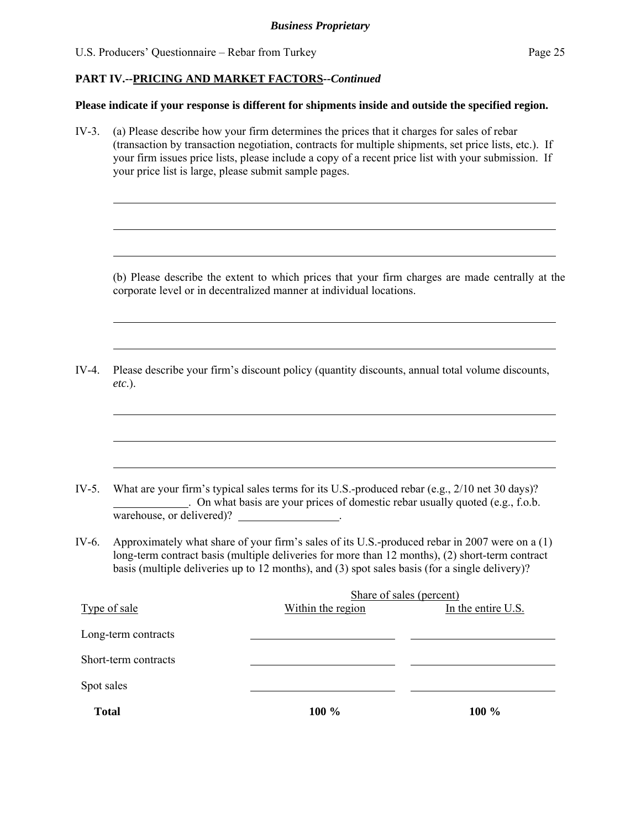l

 $\overline{a}$ 

 $\overline{a}$ 

 $\overline{a}$ 

 $\overline{a}$ 

 $\overline{a}$ 

 $\overline{a}$ 

 $\overline{a}$ 

#### **PART IV.--PRICING AND MARKET FACTORS***--Continued*

#### **Please indicate if your response is different for shipments inside and outside the specified region.**

IV-3. (a) Please describe how your firm determines the prices that it charges for sales of rebar (transaction by transaction negotiation, contracts for multiple shipments, set price lists, etc.). If your firm issues price lists, please include a copy of a recent price list with your submission. If your price list is large, please submit sample pages.

(b) Please describe the extent to which prices that your firm charges are made centrally at the corporate level or in decentralized manner at individual locations.

IV-4. Please describe your firm's discount policy (quantity discounts, annual total volume discounts, *etc*.).

- IV-5. What are your firm's typical sales terms for its U.S.-produced rebar (e.g., 2/10 net 30 days)? . On what basis are your prices of domestic rebar usually quoted (e.g., f.o.b. warehouse, or delivered)?
- IV-6. Approximately what share of your firm's sales of its U.S.-produced rebar in 2007 were on a (1) long-term contract basis (multiple deliveries for more than 12 months), (2) short-term contract basis (multiple deliveries up to 12 months), and (3) spot sales basis (for a single delivery)?

|                      | Share of sales (percent) |                    |  |
|----------------------|--------------------------|--------------------|--|
| Type of sale         | Within the region        | In the entire U.S. |  |
| Long-term contracts  |                          |                    |  |
| Short-term contracts |                          |                    |  |
| Spot sales           |                          |                    |  |
| <b>Total</b>         | 100 %                    | 100 %              |  |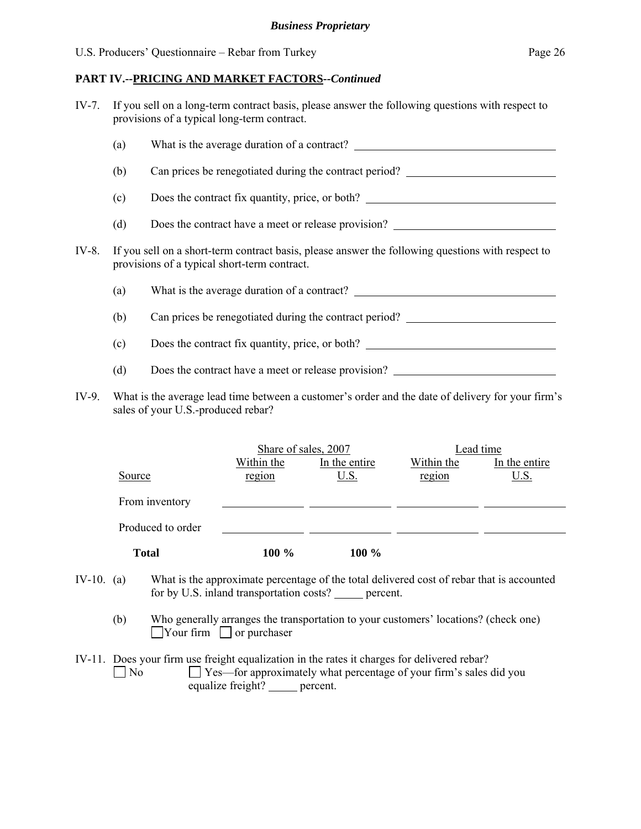IV-7. If you sell on a long-term contract basis, please answer the following questions with respect to provisions of a typical long-term contract.

|       | (a)                                                                                                                                               | What is the average duration of a contract?            |  |  |
|-------|---------------------------------------------------------------------------------------------------------------------------------------------------|--------------------------------------------------------|--|--|
|       | (b)                                                                                                                                               | Can prices be renegotiated during the contract period? |  |  |
|       | (c)                                                                                                                                               | Does the contract fix quantity, price, or both?        |  |  |
|       | (d)                                                                                                                                               | Does the contract have a meet or release provision?    |  |  |
| IV-8. | If you sell on a short-term contract basis, please answer the following questions with respect to<br>provisions of a typical short-term contract. |                                                        |  |  |
|       | (a)                                                                                                                                               |                                                        |  |  |
|       | (b)                                                                                                                                               | Can prices be renegotiated during the contract period? |  |  |
|       | (c)                                                                                                                                               | Does the contract fix quantity, price, or both?        |  |  |
|       | (d)                                                                                                                                               | Does the contract have a meet or release provision?    |  |  |
|       |                                                                                                                                                   |                                                        |  |  |

IV-9. What is the average lead time between a customer's order and the date of delivery for your firm's sales of your U.S.-produced rebar?

|                   | Share of sales, 2007 |               | Lead time  |               |
|-------------------|----------------------|---------------|------------|---------------|
|                   | Within the           | In the entire | Within the | In the entire |
| Source            | region               | <u>U.S.</u>   | region     | <u>U.S.</u>   |
| From inventory    |                      |               |            |               |
| Produced to order |                      |               |            |               |
|                   |                      |               |            |               |
| <b>Total</b>      | 100 %                | $100\%$       |            |               |

- IV-10. (a) What is the approximate percentage of the total delivered cost of rebar that is accounted for by U.S. inland transportation costs? \_\_\_\_\_ percent.
	- (b) Who generally arranges the transportation to your customers' locations? (check one)  $\Box$ Your firm  $\Box$  or purchaser
- IV-11. Does your firm use freight equalization in the rates it charges for delivered rebar? No  $\Box$  Yes—for approximately what percentage of your firm's sales did you equalize freight? percent.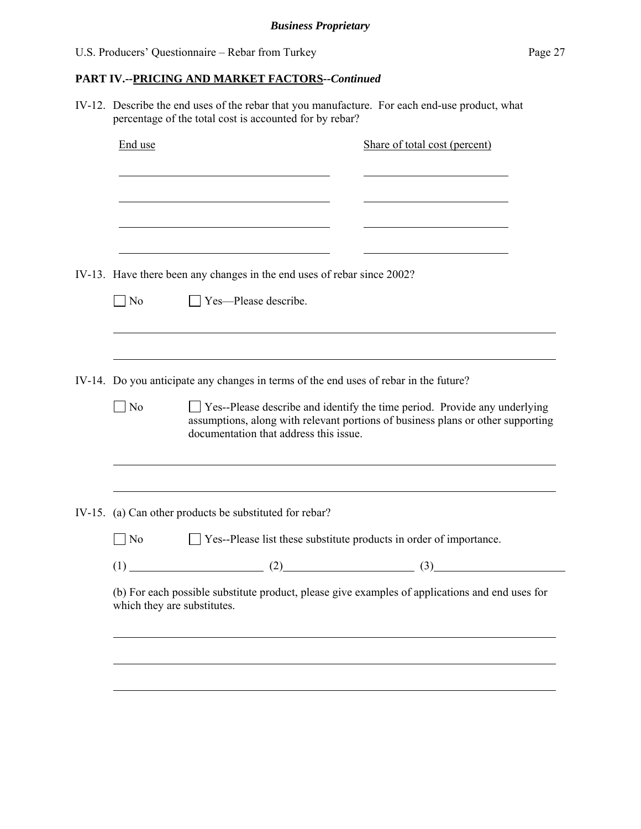IV-12. Describe the end uses of the rebar that you manufacture. For each end-use product, what percentage of the total cost is accounted for by rebar?

| End use                                                                                                                        | Share of total cost (percent)                                                                                                                                                                                 |  |  |  |  |
|--------------------------------------------------------------------------------------------------------------------------------|---------------------------------------------------------------------------------------------------------------------------------------------------------------------------------------------------------------|--|--|--|--|
|                                                                                                                                |                                                                                                                                                                                                               |  |  |  |  |
|                                                                                                                                |                                                                                                                                                                                                               |  |  |  |  |
|                                                                                                                                | IV-13. Have there been any changes in the end uses of rebar since 2002?                                                                                                                                       |  |  |  |  |
| $\overline{\phantom{a}}$ No                                                                                                    | □ Yes-Please describe.                                                                                                                                                                                        |  |  |  |  |
|                                                                                                                                |                                                                                                                                                                                                               |  |  |  |  |
|                                                                                                                                | IV-14. Do you anticipate any changes in terms of the end uses of rebar in the future?                                                                                                                         |  |  |  |  |
| $\n  1$ No                                                                                                                     | $\Box$ Yes--Please describe and identify the time period. Provide any underlying<br>assumptions, along with relevant portions of business plans or other supporting<br>documentation that address this issue. |  |  |  |  |
|                                                                                                                                |                                                                                                                                                                                                               |  |  |  |  |
|                                                                                                                                | IV-15. (a) Can other products be substituted for rebar?                                                                                                                                                       |  |  |  |  |
| $\neg$ No                                                                                                                      | $\Box$ Yes--Please list these substitute products in order of importance.                                                                                                                                     |  |  |  |  |
|                                                                                                                                | $(1)$ (1) (2) (3)                                                                                                                                                                                             |  |  |  |  |
| (b) For each possible substitute product, please give examples of applications and end uses for<br>which they are substitutes. |                                                                                                                                                                                                               |  |  |  |  |
|                                                                                                                                |                                                                                                                                                                                                               |  |  |  |  |
|                                                                                                                                |                                                                                                                                                                                                               |  |  |  |  |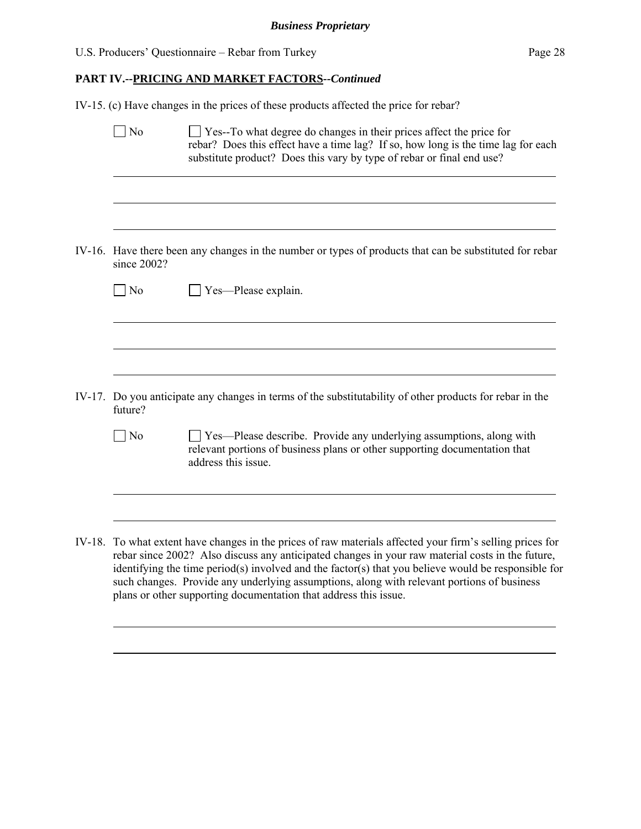$\overline{a}$ 

#### **PART IV.--PRICING AND MARKET FACTORS***--Continued*

IV-15. (c) Have changes in the prices of these products affected the price for rebar?

|        | N <sub>0</sub>    | $\Box$ Yes--To what degree do changes in their prices affect the price for<br>rebar? Does this effect have a time lag? If so, how long is the time lag for each<br>substitute product? Does this vary by type of rebar or final end use? |
|--------|-------------------|------------------------------------------------------------------------------------------------------------------------------------------------------------------------------------------------------------------------------------------|
|        |                   |                                                                                                                                                                                                                                          |
|        | since 2002?       | IV-16. Have there been any changes in the number or types of products that can be substituted for rebar                                                                                                                                  |
|        | $\blacksquare$ No | Yes—Please explain.                                                                                                                                                                                                                      |
|        |                   |                                                                                                                                                                                                                                          |
| IV-17. | future?           | Do you anticipate any changes in terms of the substitutability of other products for rebar in the                                                                                                                                        |
|        | No                | Ves—Please describe. Provide any underlying assumptions, along with<br>relevant portions of business plans or other supporting documentation that<br>address this issue.                                                                 |
|        |                   | $\sim$ $\sim$ $\sim$ $\sim$ $\sim$ $\sim$ $\sim$                                                                                                                                                                                         |

IV-18. To what extent have changes in the prices of raw materials affected your firm's selling prices for rebar since 2002? Also discuss any anticipated changes in your raw material costs in the future, identifying the time period(s) involved and the factor(s) that you believe would be responsible for such changes. Provide any underlying assumptions, along with relevant portions of business plans or other supporting documentation that address this issue.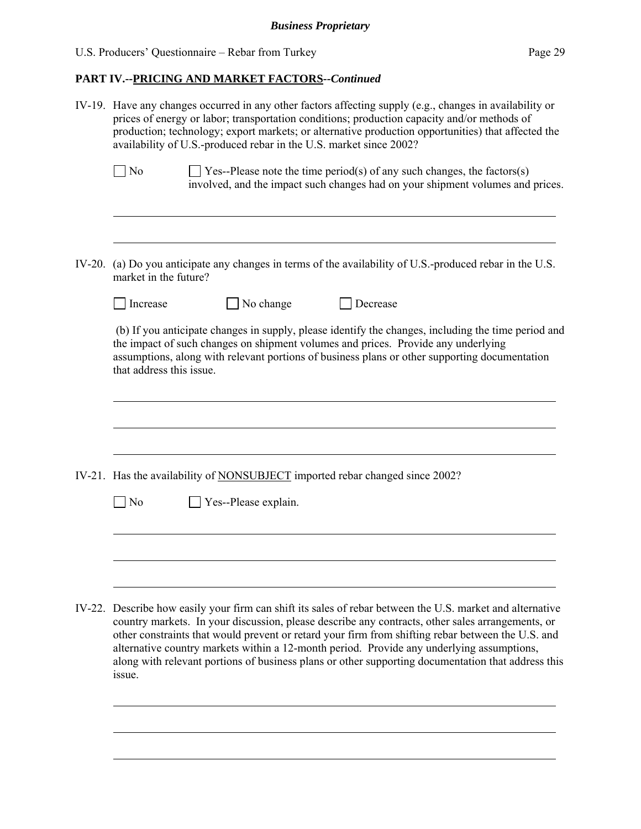# **PART IV.--PRICING AND MARKET FACTORS***--Continued*

|        | IV-19. Have any changes occurred in any other factors affecting supply (e.g., changes in availability or<br>prices of energy or labor; transportation conditions; production capacity and/or methods of<br>production; technology; export markets; or alternative production opportunities) that affected the<br>availability of U.S.-produced rebar in the U.S. market since 2002?                                                                                                                                             |  |  |  |  |  |  |
|--------|---------------------------------------------------------------------------------------------------------------------------------------------------------------------------------------------------------------------------------------------------------------------------------------------------------------------------------------------------------------------------------------------------------------------------------------------------------------------------------------------------------------------------------|--|--|--|--|--|--|
|        | $\log$<br>$\exists$ Yes--Please note the time period(s) of any such changes, the factors(s)<br>involved, and the impact such changes had on your shipment volumes and prices.                                                                                                                                                                                                                                                                                                                                                   |  |  |  |  |  |  |
| IV-20. | (a) Do you anticipate any changes in terms of the availability of U.S.-produced rebar in the U.S.<br>market in the future?                                                                                                                                                                                                                                                                                                                                                                                                      |  |  |  |  |  |  |
|        | No change<br>Decrease<br>Increase                                                                                                                                                                                                                                                                                                                                                                                                                                                                                               |  |  |  |  |  |  |
|        | (b) If you anticipate changes in supply, please identify the changes, including the time period and<br>the impact of such changes on shipment volumes and prices. Provide any underlying<br>assumptions, along with relevant portions of business plans or other supporting documentation<br>that address this issue.                                                                                                                                                                                                           |  |  |  |  |  |  |
|        |                                                                                                                                                                                                                                                                                                                                                                                                                                                                                                                                 |  |  |  |  |  |  |
|        | IV-21. Has the availability of NONSUBJECT imported rebar changed since 2002?                                                                                                                                                                                                                                                                                                                                                                                                                                                    |  |  |  |  |  |  |
|        | Yes--Please explain.<br>$\vert$ No                                                                                                                                                                                                                                                                                                                                                                                                                                                                                              |  |  |  |  |  |  |
|        |                                                                                                                                                                                                                                                                                                                                                                                                                                                                                                                                 |  |  |  |  |  |  |
|        | IV-22. Describe how easily your firm can shift its sales of rebar between the U.S. market and alternative<br>country markets. In your discussion, please describe any contracts, other sales arrangements, or<br>other constraints that would prevent or retard your firm from shifting rebar between the U.S. and<br>alternative country markets within a 12-month period. Provide any underlying assumptions,<br>along with relevant portions of business plans or other supporting documentation that address this<br>issue. |  |  |  |  |  |  |
|        |                                                                                                                                                                                                                                                                                                                                                                                                                                                                                                                                 |  |  |  |  |  |  |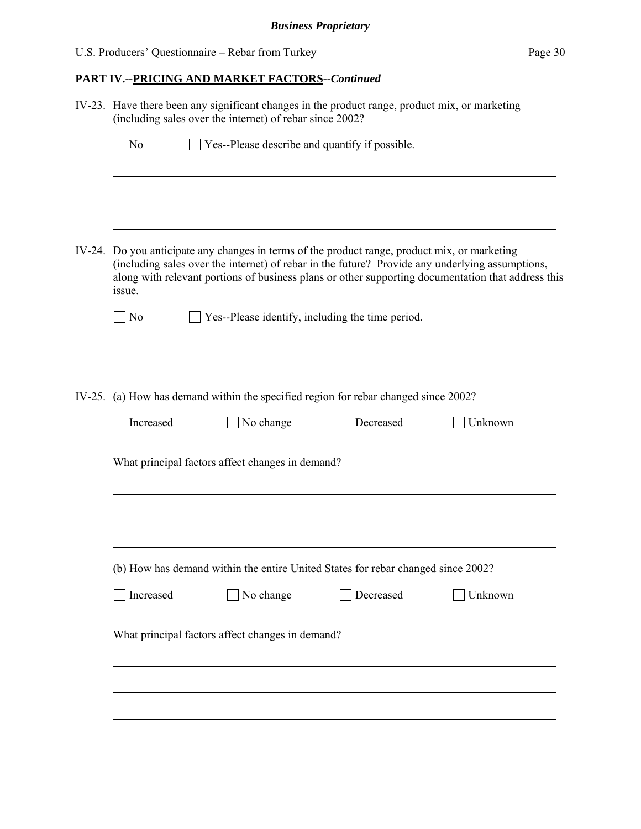| IV-23. Have there been any significant changes in the product range, product mix, or marketing<br>(including sales over the internet) of rebar since 2002? |                                                                                                                                                                                                                                                                                                        |           |           |         |  |  |  |
|------------------------------------------------------------------------------------------------------------------------------------------------------------|--------------------------------------------------------------------------------------------------------------------------------------------------------------------------------------------------------------------------------------------------------------------------------------------------------|-----------|-----------|---------|--|--|--|
| N <sub>o</sub>                                                                                                                                             | Yes--Please describe and quantify if possible.                                                                                                                                                                                                                                                         |           |           |         |  |  |  |
|                                                                                                                                                            |                                                                                                                                                                                                                                                                                                        |           |           |         |  |  |  |
|                                                                                                                                                            | IV-24. Do you anticipate any changes in terms of the product range, product mix, or marketing<br>(including sales over the internet) of rebar in the future? Provide any underlying assumptions,<br>along with relevant portions of business plans or other supporting documentation that address this |           |           |         |  |  |  |
| $\Box$ No                                                                                                                                                  | issue.<br>Yes--Please identify, including the time period.                                                                                                                                                                                                                                             |           |           |         |  |  |  |
|                                                                                                                                                            | IV-25. (a) How has demand within the specified region for rebar changed since 2002?                                                                                                                                                                                                                    |           |           |         |  |  |  |
| Increased                                                                                                                                                  |                                                                                                                                                                                                                                                                                                        | No change | Decreased | Unknown |  |  |  |
| What principal factors affect changes in demand?                                                                                                           |                                                                                                                                                                                                                                                                                                        |           |           |         |  |  |  |
|                                                                                                                                                            |                                                                                                                                                                                                                                                                                                        |           |           |         |  |  |  |
| (b) How has demand within the entire United States for rebar changed since 2002?                                                                           |                                                                                                                                                                                                                                                                                                        |           |           |         |  |  |  |
| Increased                                                                                                                                                  |                                                                                                                                                                                                                                                                                                        | No change | Decreased | Unknown |  |  |  |
|                                                                                                                                                            | What principal factors affect changes in demand?                                                                                                                                                                                                                                                       |           |           |         |  |  |  |
|                                                                                                                                                            |                                                                                                                                                                                                                                                                                                        |           |           |         |  |  |  |
|                                                                                                                                                            |                                                                                                                                                                                                                                                                                                        |           |           |         |  |  |  |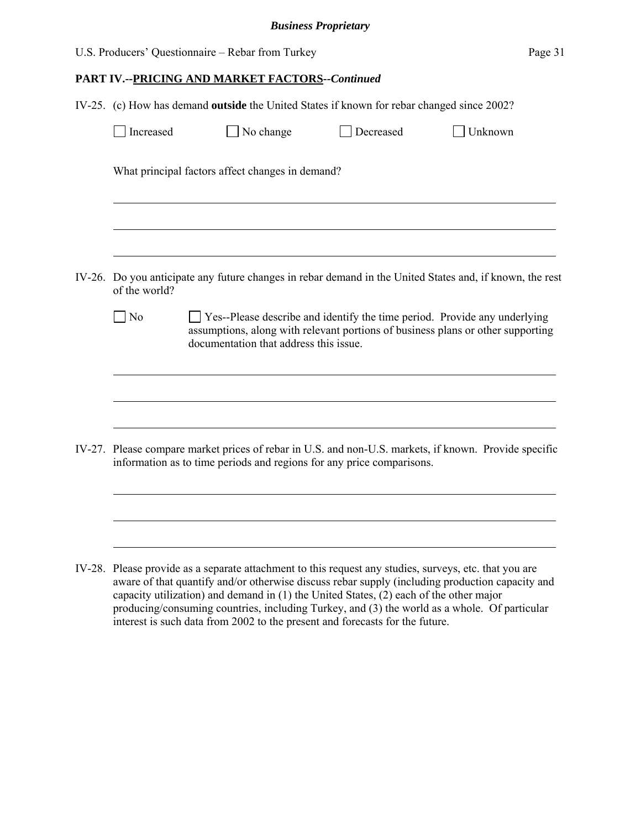|  | IV-25. (c) How has demand outside the United States if known for rebar changed since 2002?                                |  |                                                                                                                     |  |           |  |                                                                                                       |
|--|---------------------------------------------------------------------------------------------------------------------------|--|---------------------------------------------------------------------------------------------------------------------|--|-----------|--|-------------------------------------------------------------------------------------------------------|
|  | Increased                                                                                                                 |  | No change                                                                                                           |  | Decreased |  | Unknown                                                                                               |
|  | What principal factors affect changes in demand?                                                                          |  |                                                                                                                     |  |           |  |                                                                                                       |
|  |                                                                                                                           |  |                                                                                                                     |  |           |  |                                                                                                       |
|  | IV-26. Do you anticipate any future changes in rebar demand in the United States and, if known, the rest<br>of the world? |  |                                                                                                                     |  |           |  |                                                                                                       |
|  | $\log$                                                                                                                    |  | Yes--Please describe and identify the time period. Provide any underlying<br>documentation that address this issue. |  |           |  | assumptions, along with relevant portions of business plans or other supporting                       |
|  |                                                                                                                           |  |                                                                                                                     |  |           |  |                                                                                                       |
|  |                                                                                                                           |  | information as to time periods and regions for any price comparisons.                                               |  |           |  | IV-27. Please compare market prices of rebar in U.S. and non-U.S. markets, if known. Provide specific |
|  |                                                                                                                           |  |                                                                                                                     |  |           |  |                                                                                                       |
|  |                                                                                                                           |  | IV-28. Please provide as a separate attachment to this request any studies, surveys, etc. that you are              |  |           |  | aware of that quantify and/or otherwise discuss rebar supply (including production capacity and       |

capacity utilization) and demand in (1) the United States, (2) each of the other major producing/consuming countries, including Turkey, and (3) the world as a whole. Of particular interest is such data from 2002 to the present and forecasts for the future.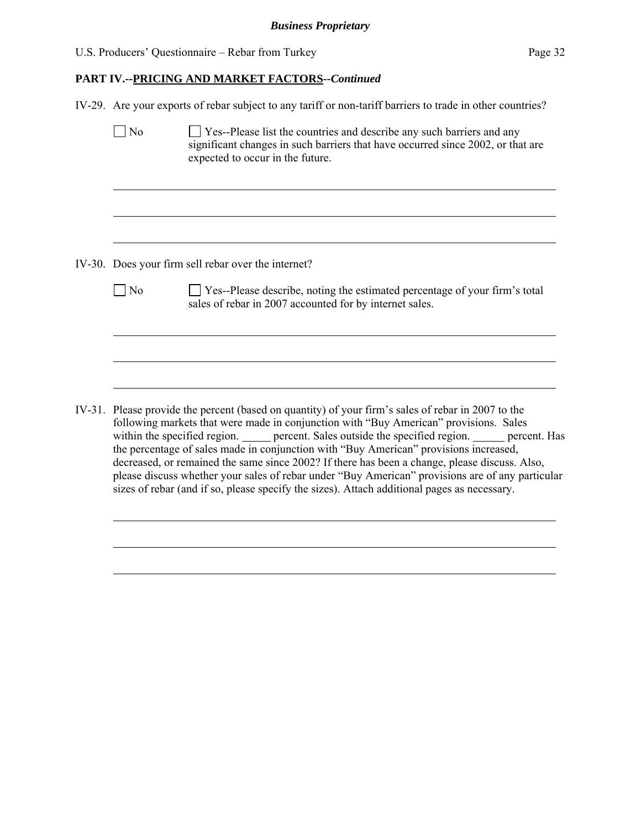$\overline{a}$ 

# **PART IV.--PRICING AND MARKET FACTORS***--Continued*

IV-29. Are your exports of rebar subject to any tariff or non-tariff barriers to trade in other countries?

|  | N <sub>o</sub>                                                                                                                                                                                                                                                                                                                                                                                                                                                                                                                                                                                                                                                                                  | $\Box$ Yes--Please list the countries and describe any such barriers and any<br>significant changes in such barriers that have occurred since 2002, or that are<br>expected to occur in the future. |  |  |  |  |
|--|-------------------------------------------------------------------------------------------------------------------------------------------------------------------------------------------------------------------------------------------------------------------------------------------------------------------------------------------------------------------------------------------------------------------------------------------------------------------------------------------------------------------------------------------------------------------------------------------------------------------------------------------------------------------------------------------------|-----------------------------------------------------------------------------------------------------------------------------------------------------------------------------------------------------|--|--|--|--|
|  |                                                                                                                                                                                                                                                                                                                                                                                                                                                                                                                                                                                                                                                                                                 |                                                                                                                                                                                                     |  |  |  |  |
|  | IV-30. Does your firm sell rebar over the internet?                                                                                                                                                                                                                                                                                                                                                                                                                                                                                                                                                                                                                                             |                                                                                                                                                                                                     |  |  |  |  |
|  | $\overline{\phantom{a}}$ No                                                                                                                                                                                                                                                                                                                                                                                                                                                                                                                                                                                                                                                                     | □ Yes--Please describe, noting the estimated percentage of your firm's total<br>sales of rebar in 2007 accounted for by internet sales.                                                             |  |  |  |  |
|  |                                                                                                                                                                                                                                                                                                                                                                                                                                                                                                                                                                                                                                                                                                 |                                                                                                                                                                                                     |  |  |  |  |
|  | IV-31. Please provide the percent (based on quantity) of your firm's sales of rebar in 2007 to the<br>following markets that were made in conjunction with "Buy American" provisions. Sales<br>within the specified region. ______ percent. Sales outside the specified region. _____ percent. Has<br>the percentage of sales made in conjunction with "Buy American" provisions increased,<br>decreased, or remained the same since 2002? If there has been a change, please discuss. Also,<br>please discuss whether your sales of rebar under "Buy American" provisions are of any particular<br>sizes of rebar (and if so, please specify the sizes). Attach additional pages as necessary. |                                                                                                                                                                                                     |  |  |  |  |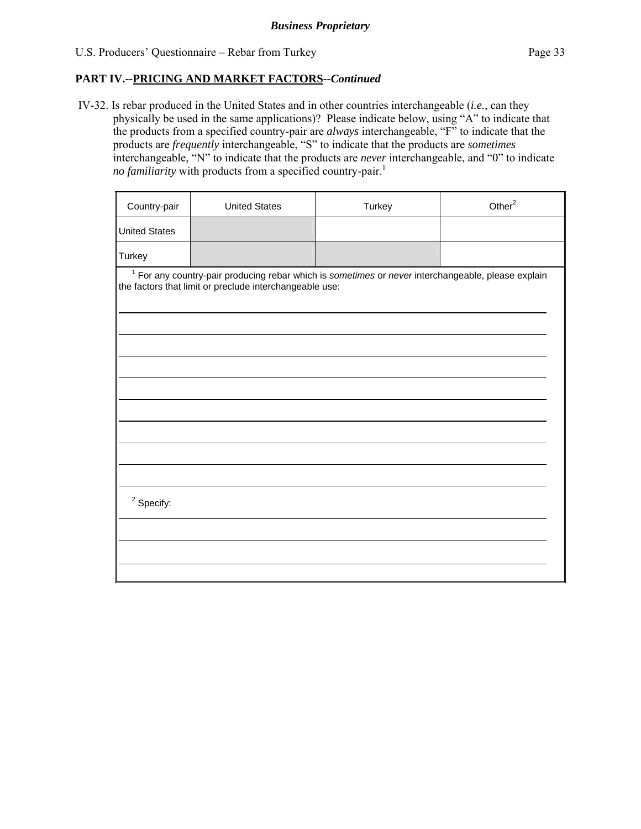IV-32. Is rebar produced in the United States and in other countries interchangeable (*i.e.*, can they physically be used in the same applications)? Please indicate below, using "A" to indicate that the products from a specified country-pair are *always* interchangeable, "F" to indicate that the products are *frequently* interchangeable, "S" to indicate that the products are *sometimes* interchangeable, "N" to indicate that the products are *never* interchangeable, and "0" to indicate *no familiarity* with products from a specified country-pair.<sup>1</sup>

| Country-pair                                                                                                                                                    | <b>United States</b> | Turkey | Other <sup>2</sup> |  |  |  |  |
|-----------------------------------------------------------------------------------------------------------------------------------------------------------------|----------------------|--------|--------------------|--|--|--|--|
| <b>United States</b>                                                                                                                                            |                      |        |                    |  |  |  |  |
| Turkey                                                                                                                                                          |                      |        |                    |  |  |  |  |
| $1$ For any country-pair producing rebar which is sometimes or never interchangeable, please explain<br>the factors that limit or preclude interchangeable use: |                      |        |                    |  |  |  |  |
|                                                                                                                                                                 |                      |        |                    |  |  |  |  |
|                                                                                                                                                                 |                      |        |                    |  |  |  |  |
|                                                                                                                                                                 |                      |        |                    |  |  |  |  |
|                                                                                                                                                                 |                      |        |                    |  |  |  |  |
|                                                                                                                                                                 |                      |        |                    |  |  |  |  |
| $2$ Specify:                                                                                                                                                    |                      |        |                    |  |  |  |  |
|                                                                                                                                                                 |                      |        |                    |  |  |  |  |
|                                                                                                                                                                 |                      |        |                    |  |  |  |  |